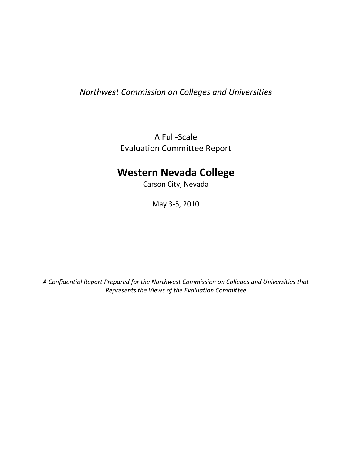# Northwest Commission on Colleges and Universities

A Full-Scale Evaluation Committee Report

# Western Nevada College

Carson City, Nevada

May 3-5, 2010

A Confidential Report Prepared for the Northwest Commission on Colleges and Universities that Represents the Views of the Evaluation Committee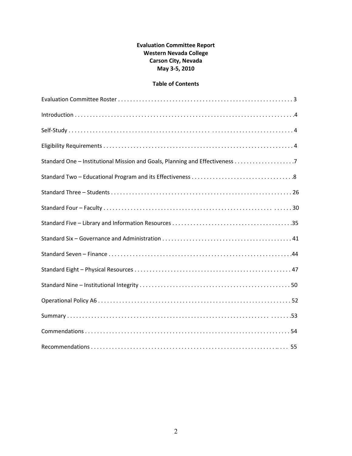### Evaluation Committee Report Western Nevada College Carson City, Nevada May 3-5, 2010

### Table of Contents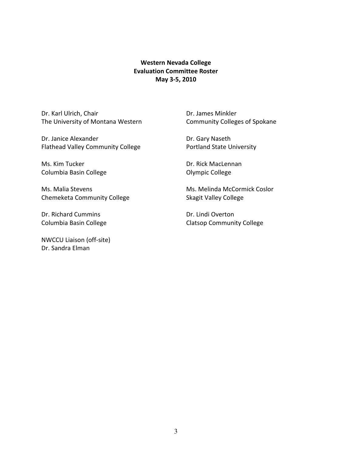### Western Nevada College Evaluation Committee Roster May 3-5, 2010

Dr. Karl Ulrich, Chair **Dr. James Minkler** The University of Montana Western Community Colleges of Spokane

Dr. Janice Alexander **Dr. Gary Naseth** Flathead Valley Community College Portland State University

Ms. Kim Tucker **Dr. Rick MacLennan** Columbia Basin College **Columbia Basin College College Olympic College** 

Chemeketa Community College Skagit Valley College

Dr. Richard Cummins Dr. Lindi Overton

NWCCU Liaison (off-site) Dr. Sandra Elman

Ms. Malia Stevens Ms. Melinda McCormick Coslor

Columbia Basin College Columbia Basin College Columbia Basin College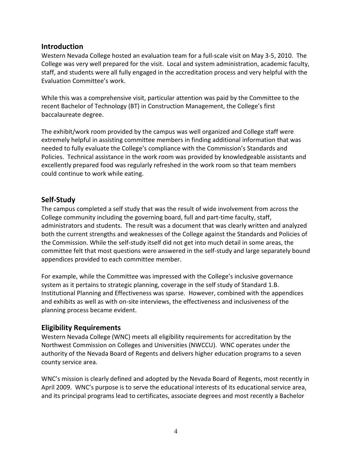### Introduction

Western Nevada College hosted an evaluation team for a full-scale visit on May 3-5, 2010. The College was very well prepared for the visit. Local and system administration, academic faculty, staff, and students were all fully engaged in the accreditation process and very helpful with the Evaluation Committee's work.

While this was a comprehensive visit, particular attention was paid by the Committee to the recent Bachelor of Technology (BT) in Construction Management, the College's first baccalaureate degree.

The exhibit/work room provided by the campus was well organized and College staff were extremely helpful in assisting committee members in finding additional information that was needed to fully evaluate the College's compliance with the Commission's Standards and Policies. Technical assistance in the work room was provided by knowledgeable assistants and excellently prepared food was regularly refreshed in the work room so that team members could continue to work while eating.

### Self-Study

The campus completed a self study that was the result of wide involvement from across the College community including the governing board, full and part-time faculty, staff, administrators and students. The result was a document that was clearly written and analyzed both the current strengths and weaknesses of the College against the Standards and Policies of the Commission. While the self-study itself did not get into much detail in some areas, the committee felt that most questions were answered in the self-study and large separately bound appendices provided to each committee member.

For example, while the Committee was impressed with the College's inclusive governance system as it pertains to strategic planning, coverage in the self study of Standard 1.B. Institutional Planning and Effectiveness was sparse. However, combined with the appendices and exhibits as well as with on-site interviews, the effectiveness and inclusiveness of the planning process became evident.

### Eligibility Requirements

Western Nevada College (WNC) meets all eligibility requirements for accreditation by the Northwest Commission on Colleges and Universities (NWCCU). WNC operates under the authority of the Nevada Board of Regents and delivers higher education programs to a seven county service area.

WNC's mission is clearly defined and adopted by the Nevada Board of Regents, most recently in April 2009. WNC's purpose is to serve the educational interests of its educational service area, and its principal programs lead to certificates, associate degrees and most recently a Bachelor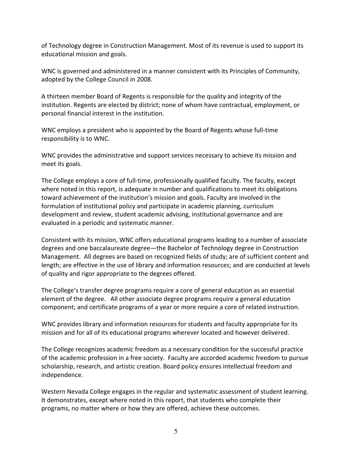of Technology degree in Construction Management. Most of its revenue is used to support its educational mission and goals.

WNC is governed and administered in a manner consistent with its Principles of Community, adopted by the College Council in 2008.

A thirteen member Board of Regents is responsible for the quality and integrity of the institution. Regents are elected by district; none of whom have contractual, employment, or personal financial interest in the institution.

WNC employs a president who is appointed by the Board of Regents whose full-time responsibility is to WNC.

WNC provides the administrative and support services necessary to achieve its mission and meet its goals.

The College employs a core of full-time, professionally qualified faculty. The faculty, except where noted in this report, is adequate in number and qualifications to meet its obligations toward achievement of the institution's mission and goals. Faculty are involved in the formulation of institutional policy and participate in academic planning, curriculum development and review, student academic advising, institutional governance and are evaluated in a periodic and systematic manner.

Consistent with its mission, WNC offers educational programs leading to a number of associate degrees and one baccalaureate degree—the Bachelor of Technology degree in Construction Management. All degrees are based on recognized fields of study; are of sufficient content and length; are effective in the use of library and information resources; and are conducted at levels of quality and rigor appropriate to the degrees offered.

The College's transfer degree programs require a core of general education as an essential element of the degree. All other associate degree programs require a general education component; and certificate programs of a year or more require a core of related instruction.

WNC provides library and information resources for students and faculty appropriate for its mission and for all of its educational programs wherever located and however delivered.

The College recognizes academic freedom as a necessary condition for the successful practice of the academic profession in a free society. Faculty are accorded academic freedom to pursue scholarship, research, and artistic creation. Board policy ensures intellectual freedom and independence.

Western Nevada College engages in the regular and systematic assessment of student learning. It demonstrates, except where noted in this report, that students who complete their programs, no matter where or how they are offered, achieve these outcomes.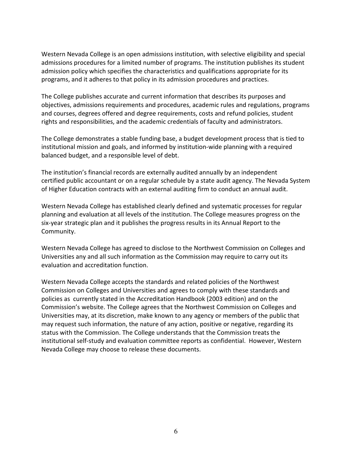Western Nevada College is an open admissions institution, with selective eligibility and special admissions procedures for a limited number of programs. The institution publishes its student admission policy which specifies the characteristics and qualifications appropriate for its programs, and it adheres to that policy in its admission procedures and practices.

The College publishes accurate and current information that describes its purposes and objectives, admissions requirements and procedures, academic rules and regulations, programs and courses, degrees offered and degree requirements, costs and refund policies, student rights and responsibilities, and the academic credentials of faculty and administrators.

The College demonstrates a stable funding base, a budget development process that is tied to institutional mission and goals, and informed by institution-wide planning with a required balanced budget, and a responsible level of debt.

The institution's financial records are externally audited annually by an independent certified public accountant or on a regular schedule by a state audit agency. The Nevada System of Higher Education contracts with an external auditing firm to conduct an annual audit.

Western Nevada College has established clearly defined and systematic processes for regular planning and evaluation at all levels of the institution. The College measures progress on the six-year strategic plan and it publishes the progress results in its Annual Report to the Community.

Western Nevada College has agreed to disclose to the Northwest Commission on Colleges and Universities any and all such information as the Commission may require to carry out its evaluation and accreditation function.

Western Nevada College accepts the standards and related policies of the Northwest Commission on Colleges and Universities and agrees to comply with these standards and policies as currently stated in the Accreditation Handbook (2003 edition) and on the Commission's website. The College agrees that the Northwest Commission on Colleges and Universities may, at its discretion, make known to any agency or members of the public that may request such information, the nature of any action, positive or negative, regarding its status with the Commission. The College understands that the Commission treats the institutional self-study and evaluation committee reports as confidential. However, Western Nevada College may choose to release these documents.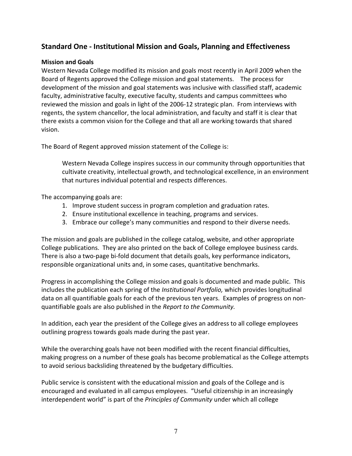# Standard One - Institutional Mission and Goals, Planning and Effectiveness

#### Mission and Goals

Western Nevada College modified its mission and goals most recently in April 2009 when the Board of Regents approved the College mission and goal statements. The process for development of the mission and goal statements was inclusive with classified staff, academic faculty, administrative faculty, executive faculty, students and campus committees who reviewed the mission and goals in light of the 2006-12 strategic plan. From interviews with regents, the system chancellor, the local administration, and faculty and staff it is clear that there exists a common vision for the College and that all are working towards that shared vision.

The Board of Regent approved mission statement of the College is:

Western Nevada College inspires success in our community through opportunities that cultivate creativity, intellectual growth, and technological excellence, in an environment that nurtures individual potential and respects differences.

The accompanying goals are:

- 1. Improve student success in program completion and graduation rates.
- 2. Ensure institutional excellence in teaching, programs and services.
- 3. Embrace our college's many communities and respond to their diverse needs.

The mission and goals are published in the college catalog, website, and other appropriate College publications. They are also printed on the back of College employee business cards. There is also a two-page bi-fold document that details goals, key performance indicators, responsible organizational units and, in some cases, quantitative benchmarks.

Progress in accomplishing the College mission and goals is documented and made public. This includes the publication each spring of the Institutional Portfolio, which provides longitudinal data on all quantifiable goals for each of the previous ten years. Examples of progress on nonquantifiable goals are also published in the Report to the Community.

In addition, each year the president of the College gives an address to all college employees outlining progress towards goals made during the past year.

While the overarching goals have not been modified with the recent financial difficulties, making progress on a number of these goals has become problematical as the College attempts to avoid serious backsliding threatened by the budgetary difficulties.

Public service is consistent with the educational mission and goals of the College and is encouraged and evaluated in all campus employees. "Useful citizenship in an increasingly interdependent world" is part of the Principles of Community under which all college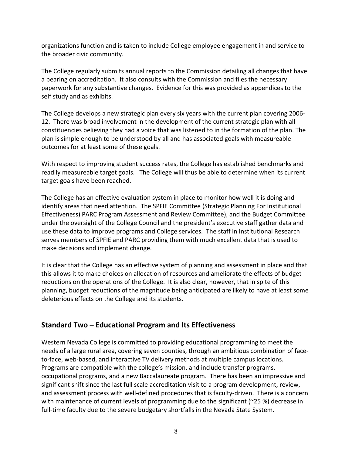organizations function and is taken to include College employee engagement in and service to the broader civic community.

The College regularly submits annual reports to the Commission detailing all changes that have a bearing on accreditation. It also consults with the Commission and files the necessary paperwork for any substantive changes. Evidence for this was provided as appendices to the self study and as exhibits.

The College develops a new strategic plan every six years with the current plan covering 2006- 12. There was broad involvement in the development of the current strategic plan with all constituencies believing they had a voice that was listened to in the formation of the plan. The plan is simple enough to be understood by all and has associated goals with measureable outcomes for at least some of these goals.

With respect to improving student success rates, the College has established benchmarks and readily measureable target goals. The College will thus be able to determine when its current target goals have been reached.

The College has an effective evaluation system in place to monitor how well it is doing and identify areas that need attention. The SPFIE Committee (Strategic Planning For Institutional Effectiveness) PARC Program Assessment and Review Committee), and the Budget Committee under the oversight of the College Council and the president's executive staff gather data and use these data to improve programs and College services. The staff in Institutional Research serves members of SPFIE and PARC providing them with much excellent data that is used to make decisions and implement change.

It is clear that the College has an effective system of planning and assessment in place and that this allows it to make choices on allocation of resources and ameliorate the effects of budget reductions on the operations of the College. It is also clear, however, that in spite of this planning, budget reductions of the magnitude being anticipated are likely to have at least some deleterious effects on the College and its students.

# Standard Two – Educational Program and Its Effectiveness

Western Nevada College is committed to providing educational programming to meet the needs of a large rural area, covering seven counties, through an ambitious combination of faceto-face, web-based, and interactive TV delivery methods at multiple campus locations. Programs are compatible with the college's mission, and include transfer programs, occupational programs, and a new Baccalaureate program. There has been an impressive and significant shift since the last full scale accreditation visit to a program development, review, and assessment process with well-defined procedures that is faculty-driven. There is a concern with maintenance of current levels of programming due to the significant (~25 %) decrease in full-time faculty due to the severe budgetary shortfalls in the Nevada State System.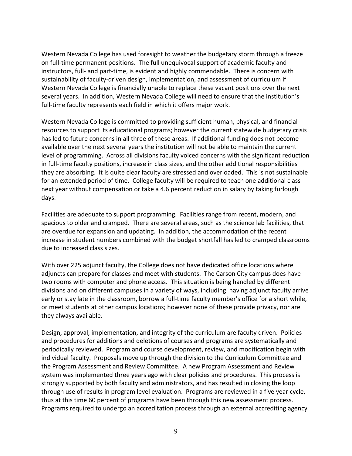Western Nevada College has used foresight to weather the budgetary storm through a freeze on full-time permanent positions. The full unequivocal support of academic faculty and instructors, full- and part-time, is evident and highly commendable. There is concern with sustainability of faculty-driven design, implementation, and assessment of curriculum if Western Nevada College is financially unable to replace these vacant positions over the next several years. In addition, Western Nevada College will need to ensure that the institution's full-time faculty represents each field in which it offers major work.

Western Nevada College is committed to providing sufficient human, physical, and financial resources to support its educational programs; however the current statewide budgetary crisis has led to future concerns in all three of these areas. If additional funding does not become available over the next several years the institution will not be able to maintain the current level of programming. Across all divisions faculty voiced concerns with the significant reduction in full-time faculty positions, increase in class sizes, and the other additional responsibilities they are absorbing. It is quite clear faculty are stressed and overloaded. This is not sustainable for an extended period of time. College faculty will be required to teach one additional class next year without compensation or take a 4.6 percent reduction in salary by taking furlough days.

Facilities are adequate to support programming. Facilities range from recent, modern, and spacious to older and cramped. There are several areas, such as the science lab facilities, that are overdue for expansion and updating. In addition, the accommodation of the recent increase in student numbers combined with the budget shortfall has led to cramped classrooms due to increased class sizes.

With over 225 adjunct faculty, the College does not have dedicated office locations where adjuncts can prepare for classes and meet with students. The Carson City campus does have two rooms with computer and phone access. This situation is being handled by different divisions and on different campuses in a variety of ways, including having adjunct faculty arrive early or stay late in the classroom, borrow a full-time faculty member's office for a short while, or meet students at other campus locations; however none of these provide privacy, nor are they always available.

Design, approval, implementation, and integrity of the curriculum are faculty driven. Policies and procedures for additions and deletions of courses and programs are systematically and periodically reviewed. Program and course development, review, and modification begin with individual faculty. Proposals move up through the division to the Curriculum Committee and the Program Assessment and Review Committee. A new Program Assessment and Review system was implemented three years ago with clear policies and procedures. This process is strongly supported by both faculty and administrators, and has resulted in closing the loop through use of results in program level evaluation. Programs are reviewed in a five year cycle, thus at this time 60 percent of programs have been through this new assessment process. Programs required to undergo an accreditation process through an external accrediting agency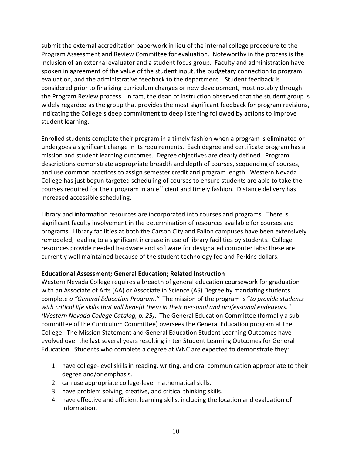submit the external accreditation paperwork in lieu of the internal college procedure to the Program Assessment and Review Committee for evaluation. Noteworthy in the process is the inclusion of an external evaluator and a student focus group. Faculty and administration have spoken in agreement of the value of the student input, the budgetary connection to program evaluation, and the administrative feedback to the department. Student feedback is considered prior to finalizing curriculum changes or new development, most notably through the Program Review process. In fact, the dean of instruction observed that the student group is widely regarded as the group that provides the most significant feedback for program revisions, indicating the College's deep commitment to deep listening followed by actions to improve student learning.

Enrolled students complete their program in a timely fashion when a program is eliminated or undergoes a significant change in its requirements. Each degree and certificate program has a mission and student learning outcomes. Degree objectives are clearly defined. Program descriptions demonstrate appropriate breadth and depth of courses, sequencing of courses, and use common practices to assign semester credit and program length. Western Nevada College has just begun targeted scheduling of courses to ensure students are able to take the courses required for their program in an efficient and timely fashion. Distance delivery has increased accessible scheduling.

Library and information resources are incorporated into courses and programs. There is significant faculty involvement in the determination of resources available for courses and programs. Library facilities at both the Carson City and Fallon campuses have been extensively remodeled, leading to a significant increase in use of library facilities by students. College resources provide needed hardware and software for designated computer labs; these are currently well maintained because of the student technology fee and Perkins dollars.

### Educational Assessment; General Education; Related Instruction

Western Nevada College requires a breadth of general education coursework for graduation with an Associate of Arts (AA) or Associate in Science (AS) Degree by mandating students complete a "General Education Program." The mission of the program is "to provide students with critical life skills that will benefit them in their personal and professional endeavors." (Western Nevada College Catalog, p. 25). The General Education Committee (formally a subcommittee of the Curriculum Committee) oversees the General Education program at the College. The Mission Statement and General Education Student Learning Outcomes have evolved over the last several years resulting in ten Student Learning Outcomes for General Education. Students who complete a degree at WNC are expected to demonstrate they:

- 1. have college-level skills in reading, writing, and oral communication appropriate to their degree and/or emphasis.
- 2. can use appropriate college-level mathematical skills.
- 3. have problem solving, creative, and critical thinking skills.
- 4. have effective and efficient learning skills, including the location and evaluation of information.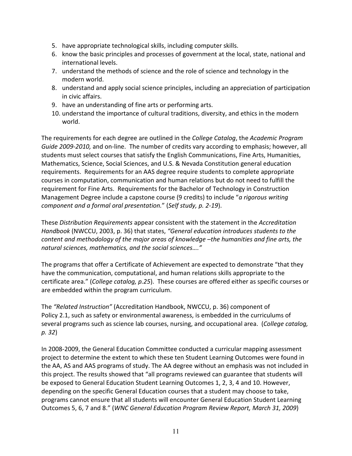- 5. have appropriate technological skills, including computer skills.
- 6. know the basic principles and processes of government at the local, state, national and international levels.
- 7. understand the methods of science and the role of science and technology in the modern world.
- 8. understand and apply social science principles, including an appreciation of participation in civic affairs.
- 9. have an understanding of fine arts or performing arts.
- 10. understand the importance of cultural traditions, diversity, and ethics in the modern world.

The requirements for each degree are outlined in the College Catalog, the Academic Program Guide 2009-2010, and on-line. The number of credits vary according to emphasis; however, all students must select courses that satisfy the English Communications, Fine Arts, Humanities, Mathematics, Science, Social Sciences, and U.S. & Nevada Constitution general education requirements. Requirements for an AAS degree require students to complete appropriate courses in computation, communication and human relations but do not need to fulfill the requirement for Fine Arts. Requirements for the Bachelor of Technology in Construction Management Degree include a capstone course (9 credits) to include "a rigorous writing component and a formal oral presentation." (Self study, p. 2-19).

These Distribution Requirements appear consistent with the statement in the Accreditation Handbook (NWCCU, 2003, p. 36) that states, "General education introduces students to the content and methodology of the major areas of knowledge –the humanities and fine arts, the natural sciences, mathematics, and the social sciences…."

The programs that offer a Certificate of Achievement are expected to demonstrate "that they have the communication, computational, and human relations skills appropriate to the certificate area." (College catalog, p.25). These courses are offered either as specific courses or are embedded within the program curriculum.

The "Related Instruction" (Accreditation Handbook, NWCCU, p. 36) component of Policy 2.1, such as safety or environmental awareness, is embedded in the curriculums of several programs such as science lab courses, nursing, and occupational area. (College catalog, p. 32)

In 2008-2009, the General Education Committee conducted a curricular mapping assessment project to determine the extent to which these ten Student Learning Outcomes were found in the AA, AS and AAS programs of study. The AA degree without an emphasis was not included in this project. The results showed that "all programs reviewed can guarantee that students will be exposed to General Education Student Learning Outcomes 1, 2, 3, 4 and 10. However, depending on the specific General Education courses that a student may choose to take, programs cannot ensure that all students will encounter General Education Student Learning Outcomes 5, 6, 7 and 8." (WNC General Education Program Review Report, March 31, 2009)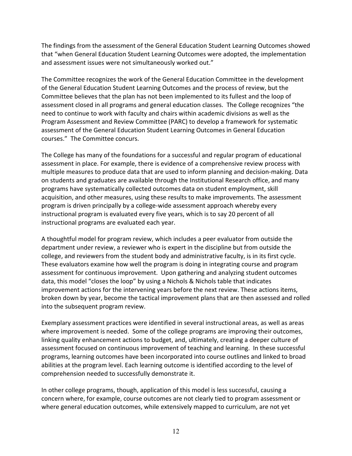The findings from the assessment of the General Education Student Learning Outcomes showed that "when General Education Student Learning Outcomes were adopted, the implementation and assessment issues were not simultaneously worked out."

The Committee recognizes the work of the General Education Committee in the development of the General Education Student Learning Outcomes and the process of review, but the Committee believes that the plan has not been implemented to its fullest and the loop of assessment closed in all programs and general education classes. The College recognizes "the need to continue to work with faculty and chairs within academic divisions as well as the Program Assessment and Review Committee (PARC) to develop a framework for systematic assessment of the General Education Student Learning Outcomes in General Education courses." The Committee concurs.

The College has many of the foundations for a successful and regular program of educational assessment in place. For example, there is evidence of a comprehensive review process with multiple measures to produce data that are used to inform planning and decision-making. Data on students and graduates are available through the Institutional Research office, and many programs have systematically collected outcomes data on student employment, skill acquisition, and other measures, using these results to make improvements. The assessment program is driven principally by a college-wide assessment approach whereby every instructional program is evaluated every five years, which is to say 20 percent of all instructional programs are evaluated each year.

A thoughtful model for program review, which includes a peer evaluator from outside the department under review, a reviewer who is expert in the discipline but from outside the college, and reviewers from the student body and administrative faculty, is in its first cycle. These evaluators examine how well the program is doing in integrating course and program assessment for continuous improvement. Upon gathering and analyzing student outcomes data, this model "closes the loop" by using a Nichols & Nichols table that indicates improvement actions for the intervening years before the next review. These actions items, broken down by year, become the tactical improvement plans that are then assessed and rolled into the subsequent program review.

Exemplary assessment practices were identified in several instructional areas, as well as areas where improvement is needed. Some of the college programs are improving their outcomes, linking quality enhancement actions to budget, and, ultimately, creating a deeper culture of assessment focused on continuous improvement of teaching and learning. In these successful programs, learning outcomes have been incorporated into course outlines and linked to broad abilities at the program level. Each learning outcome is identified according to the level of comprehension needed to successfully demonstrate it.

In other college programs, though, application of this model is less successful, causing a concern where, for example, course outcomes are not clearly tied to program assessment or where general education outcomes, while extensively mapped to curriculum, are not yet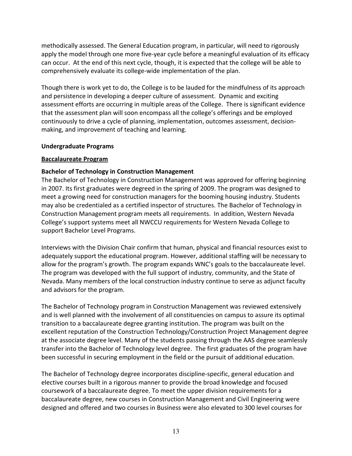methodically assessed. The General Education program, in particular, will need to rigorously apply the model through one more five-year cycle before a meaningful evaluation of its efficacy can occur. At the end of this next cycle, though, it is expected that the college will be able to comprehensively evaluate its college-wide implementation of the plan.

Though there is work yet to do, the College is to be lauded for the mindfulness of its approach and persistence in developing a deeper culture of assessment. Dynamic and exciting assessment efforts are occurring in multiple areas of the College. There is significant evidence that the assessment plan will soon encompass all the college's offerings and be employed continuously to drive a cycle of planning, implementation, outcomes assessment, decisionmaking, and improvement of teaching and learning.

#### Undergraduate Programs

#### Baccalaureate Program

### Bachelor of Technology in Construction Management

The Bachelor of Technology in Construction Management was approved for offering beginning in 2007. Its first graduates were degreed in the spring of 2009. The program was designed to meet a growing need for construction managers for the booming housing industry. Students may also be credentialed as a certified inspector of structures. The Bachelor of Technology in Construction Management program meets all requirements. In addition, Western Nevada College's support systems meet all NWCCU requirements for Western Nevada College to support Bachelor Level Programs.

Interviews with the Division Chair confirm that human, physical and financial resources exist to adequately support the educational program. However, additional staffing will be necessary to allow for the program's growth. The program expands WNC's goals to the baccalaureate level. The program was developed with the full support of industry, community, and the State of Nevada. Many members of the local construction industry continue to serve as adjunct faculty and advisors for the program.

The Bachelor of Technology program in Construction Management was reviewed extensively and is well planned with the involvement of all constituencies on campus to assure its optimal transition to a baccalaureate degree granting institution. The program was built on the excellent reputation of the Construction Technology/Construction Project Management degree at the associate degree level. Many of the students passing through the AAS degree seamlessly transfer into the Bachelor of Technology level degree. The first graduates of the program have been successful in securing employment in the field or the pursuit of additional education.

The Bachelor of Technology degree incorporates discipline-specific, general education and elective courses built in a rigorous manner to provide the broad knowledge and focused coursework of a baccalaureate degree. To meet the upper division requirements for a baccalaureate degree, new courses in Construction Management and Civil Engineering were designed and offered and two courses in Business were also elevated to 300 level courses for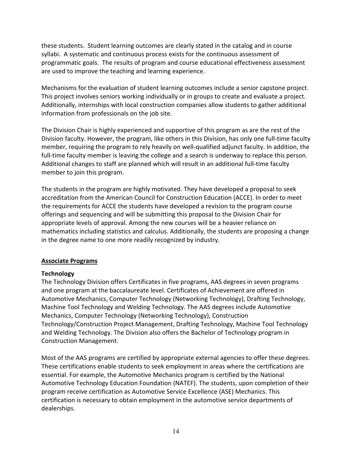these students. Student learning outcomes are clearly stated in the catalog and in course syllabi. A systematic and continuous process exists for the continuous assessment of programmatic goals. The results of program and course educational effectiveness assessment are used to improve the teaching and learning experience.

Mechanisms for the evaluation of student learning outcomes include a senior capstone project. This project involves seniors working individually or in groups to create and evaluate a project. Additionally, internships with local construction companies allow students to gather additional information from professionals on the job site.

The Division Chair is highly experienced and supportive of this program as are the rest of the Division faculty. However, the program, like others in this Division, has only one full-time faculty member, requiring the program to rely heavily on well-qualified adjunct faculty. In addition, the full-time faculty member is leaving the college and a search is underway to replace this person. Additional changes to staff are planned which will result in an additional full-time faculty member to join this program.

The students in the program are highly motivated. They have developed a proposal to seek accreditation from the American Council for Construction Education (ACCE). In order to meet the requirements for ACCE the students have developed a revision to the program course offerings and sequencing and will be submitting this proposal to the Division Chair for appropriate levels of approval. Among the new courses will be a heavier reliance on mathematics including statistics and calculus. Additionally, the students are proposing a change in the degree name to one more readily recognized by industry.

### Associate Programs

### **Technology**

The Technology Division offers Certificates in five programs, AAS degrees in seven programs and one program at the baccalaureate level. Certificates of Achievement are offered in Automotive Mechanics, Computer Technology (Networking Technology), Drafting Technology, Machine Tool Technology and Welding Technology. The AAS degrees include Automotive Mechanics, Computer Technology (Networking Technology), Construction Technology/Construction Project Management, Drafting Technology, Machine Tool Technology and Welding Technology. The Division also offers the Bachelor of Technology program in Construction Management.

Most of the AAS programs are certified by appropriate external agencies to offer these degrees. These certifications enable students to seek employment in areas where the certifications are essential. For example, the Automotive Mechanics program is certified by the National Automotive Technology Education Foundation (NATEF). The students, upon completion of their program receive certification as Automotive Service Excellence (ASE) Mechanics. This certification is necessary to obtain employment in the automotive service departments of dealerships.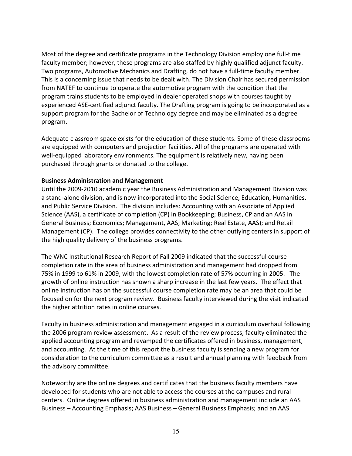Most of the degree and certificate programs in the Technology Division employ one full-time faculty member; however, these programs are also staffed by highly qualified adjunct faculty. Two programs, Automotive Mechanics and Drafting, do not have a full-time faculty member. This is a concerning issue that needs to be dealt with. The Division Chair has secured permission from NATEF to continue to operate the automotive program with the condition that the program trains students to be employed in dealer operated shops with courses taught by experienced ASE-certified adjunct faculty. The Drafting program is going to be incorporated as a support program for the Bachelor of Technology degree and may be eliminated as a degree program.

Adequate classroom space exists for the education of these students. Some of these classrooms are equipped with computers and projection facilities. All of the programs are operated with well-equipped laboratory environments. The equipment is relatively new, having been purchased through grants or donated to the college.

#### Business Administration and Management

Until the 2009-2010 academic year the Business Administration and Management Division was a stand-alone division, and is now incorporated into the Social Science, Education, Humanities, and Public Service Division. The division includes: Accounting with an Associate of Applied Science (AAS), a certificate of completion (CP) in Bookkeeping; Business, CP and an AAS in General Business; Economics; Management, AAS; Marketing; Real Estate, AAS); and Retail Management (CP). The college provides connectivity to the other outlying centers in support of the high quality delivery of the business programs.

The WNC Institutional Research Report of Fall 2009 indicated that the successful course completion rate in the area of business administration and management had dropped from 75% in 1999 to 61% in 2009, with the lowest completion rate of 57% occurring in 2005. The growth of online instruction has shown a sharp increase in the last few years. The effect that online instruction has on the successful course completion rate may be an area that could be focused on for the next program review. Business faculty interviewed during the visit indicated the higher attrition rates in online courses.

Faculty in business administration and management engaged in a curriculum overhaul following the 2006 program review assessment. As a result of the review process, faculty eliminated the applied accounting program and revamped the certificates offered in business, management, and accounting. At the time of this report the business faculty is sending a new program for consideration to the curriculum committee as a result and annual planning with feedback from the advisory committee.

Noteworthy are the online degrees and certificates that the business faculty members have developed for students who are not able to access the courses at the campuses and rural centers. Online degrees offered in business administration and management include an AAS Business – Accounting Emphasis; AAS Business – General Business Emphasis; and an AAS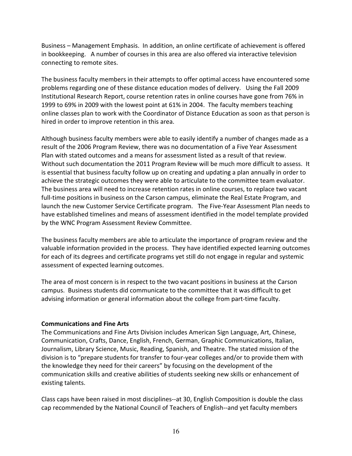Business – Management Emphasis. In addition, an online certificate of achievement is offered in bookkeeping. A number of courses in this area are also offered via interactive television connecting to remote sites.

The business faculty members in their attempts to offer optimal access have encountered some problems regarding one of these distance education modes of delivery. Using the Fall 2009 Institutional Research Report, course retention rates in online courses have gone from 76% in 1999 to 69% in 2009 with the lowest point at 61% in 2004. The faculty members teaching online classes plan to work with the Coordinator of Distance Education as soon as that person is hired in order to improve retention in this area.

Although business faculty members were able to easily identify a number of changes made as a result of the 2006 Program Review, there was no documentation of a Five Year Assessment Plan with stated outcomes and a means for assessment listed as a result of that review. Without such documentation the 2011 Program Review will be much more difficult to assess. It is essential that business faculty follow up on creating and updating a plan annually in order to achieve the strategic outcomes they were able to articulate to the committee team evaluator. The business area will need to increase retention rates in online courses, to replace two vacant full-time positions in business on the Carson campus, eliminate the Real Estate Program, and launch the new Customer Service Certificate program. The Five-Year Assessment Plan needs to have established timelines and means of assessment identified in the model template provided by the WNC Program Assessment Review Committee.

The business faculty members are able to articulate the importance of program review and the valuable information provided in the process. They have identified expected learning outcomes for each of its degrees and certificate programs yet still do not engage in regular and systemic assessment of expected learning outcomes.

The area of most concern is in respect to the two vacant positions in business at the Carson campus. Business students did communicate to the committee that it was difficult to get advising information or general information about the college from part-time faculty.

#### Communications and Fine Arts

The Communications and Fine Arts Division includes American Sign Language, Art, Chinese, Communication, Crafts, Dance, English, French, German, Graphic Communications, Italian, Journalism, Library Science, Music, Reading, Spanish, and Theatre. The stated mission of the division is to "prepare students for transfer to four-year colleges and/or to provide them with the knowledge they need for their careers" by focusing on the development of the communication skills and creative abilities of students seeking new skills or enhancement of existing talents.

Class caps have been raised in most disciplines--at 30, English Composition is double the class cap recommended by the National Council of Teachers of English--and yet faculty members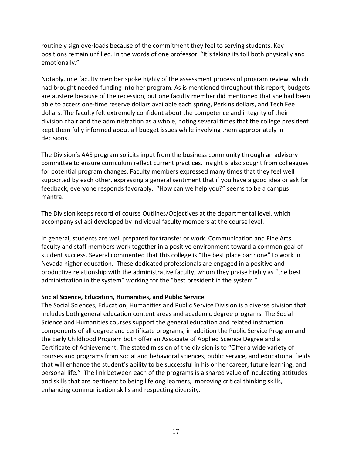routinely sign overloads because of the commitment they feel to serving students. Key positions remain unfilled. In the words of one professor, "It's taking its toll both physically and emotionally."

Notably, one faculty member spoke highly of the assessment process of program review, which had brought needed funding into her program. As is mentioned throughout this report, budgets are austere because of the recession, but one faculty member did mentioned that she had been able to access one-time reserve dollars available each spring, Perkins dollars, and Tech Fee dollars. The faculty felt extremely confident about the competence and integrity of their division chair and the administration as a whole, noting several times that the college president kept them fully informed about all budget issues while involving them appropriately in decisions.

The Division's AAS program solicits input from the business community through an advisory committee to ensure curriculum reflect current practices. Insight is also sought from colleagues for potential program changes. Faculty members expressed many times that they feel well supported by each other, expressing a general sentiment that if you have a good idea or ask for feedback, everyone responds favorably. "How can we help you?" seems to be a campus mantra.

The Division keeps record of course Outlines/Objectives at the departmental level, which accompany syllabi developed by individual faculty members at the course level.

In general, students are well prepared for transfer or work. Communication and Fine Arts faculty and staff members work together in a positive environment toward a common goal of student success. Several commented that this college is "the best place bar none" to work in Nevada higher education. These dedicated professionals are engaged in a positive and productive relationship with the administrative faculty, whom they praise highly as "the best administration in the system" working for the "best president in the system."

### Social Science, Education, Humanities, and Public Service

The Social Sciences, Education, Humanities and Public Service Division is a diverse division that includes both general education content areas and academic degree programs. The Social Science and Humanities courses support the general education and related instruction components of all degree and certificate programs, in addition the Public Service Program and the Early Childhood Program both offer an Associate of Applied Science Degree and a Certificate of Achievement. The stated mission of the division is to "Offer a wide variety of courses and programs from social and behavioral sciences, public service, and educational fields that will enhance the student's ability to be successful in his or her career, future learning, and personal life." The link between each of the programs is a shared value of inculcating attitudes and skills that are pertinent to being lifelong learners, improving critical thinking skills, enhancing communication skills and respecting diversity.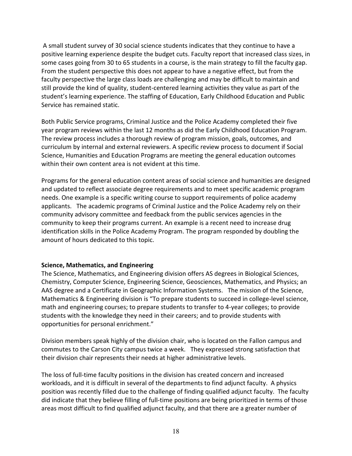A small student survey of 30 social science students indicates that they continue to have a positive learning experience despite the budget cuts. Faculty report that increased class sizes, in some cases going from 30 to 65 students in a course, is the main strategy to fill the faculty gap. From the student perspective this does not appear to have a negative effect, but from the faculty perspective the large class loads are challenging and may be difficult to maintain and still provide the kind of quality, student-centered learning activities they value as part of the student's learning experience. The staffing of Education, Early Childhood Education and Public Service has remained static.

Both Public Service programs, Criminal Justice and the Police Academy completed their five year program reviews within the last 12 months as did the Early Childhood Education Program. The review process includes a thorough review of program mission, goals, outcomes, and curriculum by internal and external reviewers. A specific review process to document if Social Science, Humanities and Education Programs are meeting the general education outcomes within their own content area is not evident at this time.

Programs for the general education content areas of social science and humanities are designed and updated to reflect associate degree requirements and to meet specific academic program needs. One example is a specific writing course to support requirements of police academy applicants. The academic programs of Criminal Justice and the Police Academy rely on their community advisory committee and feedback from the public services agencies in the community to keep their programs current. An example is a recent need to increase drug identification skills in the Police Academy Program. The program responded by doubling the amount of hours dedicated to this topic.

#### Science, Mathematics, and Engineering

The Science, Mathematics, and Engineering division offers AS degrees in Biological Sciences, Chemistry, Computer Science, Engineering Science, Geosciences, Mathematics, and Physics; an AAS degree and a Certificate in Geographic Information Systems. The mission of the Science, Mathematics & Engineering division is "To prepare students to succeed in college-level science, math and engineering courses; to prepare students to transfer to 4-year colleges; to provide students with the knowledge they need in their careers; and to provide students with opportunities for personal enrichment."

Division members speak highly of the division chair, who is located on the Fallon campus and commutes to the Carson City campus twice a week. They expressed strong satisfaction that their division chair represents their needs at higher administrative levels.

The loss of full-time faculty positions in the division has created concern and increased workloads, and it is difficult in several of the departments to find adjunct faculty. A physics position was recently filled due to the challenge of finding qualified adjunct faculty. The faculty did indicate that they believe filling of full-time positions are being prioritized in terms of those areas most difficult to find qualified adjunct faculty, and that there are a greater number of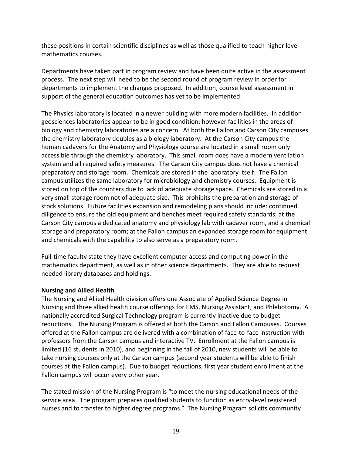these positions in certain scientific disciplines as well as those qualified to teach higher level mathematics courses.

Departments have taken part in program review and have been quite active in the assessment process. The next step will need to be the second round of program review in order for departments to implement the changes proposed. In addition, course level assessment in support of the general education outcomes has yet to be implemented.

The Physics laboratory is located in a newer building with more modern facilities. In addition geosciences laboratories appear to be in good condition; however facilities in the areas of biology and chemistry laboratories are a concern. At both the Fallon and Carson City campuses the chemistry laboratory doubles as a biology laboratory. At the Carson City campus the human cadavers for the Anatomy and Physiology course are located in a small room only accessible through the chemistry laboratory. This small room does have a modern ventilation system and all required safety measures. The Carson City campus does not have a chemical preparatory and storage room. Chemicals are stored in the laboratory itself. The Fallon campus utilizes the same laboratory for microbiology and chemistry courses. Equipment is stored on top of the counters due to lack of adequate storage space. Chemicals are stored in a very small storage room not of adequate size. This prohibits the preparation and storage of stock solutions. Future facilities expansion and remodeling plans should include: continued diligence to ensure the old equipment and benches meet required safety standards; at the Carson City campus a dedicated anatomy and physiology lab with cadaver room, and a chemical storage and preparatory room; at the Fallon campus an expanded storage room for equipment and chemicals with the capability to also serve as a preparatory room.

Full-time faculty state they have excellent computer access and computing power in the mathematics department, as well as in other science departments. They are able to request needed library databases and holdings.

#### Nursing and Allied Health

The Nursing and Allied Health division offers one Associate of Applied Science Degree in Nursing and three allied health course offerings for EMS, Nursing Assistant, and Phlebotomy. A nationally accredited Surgical Technology program is currently inactive due to budget reductions. The Nursing Program is offered at both the Carson and Fallon Campuses. Courses offered at the Fallon campus are delivered with a combination of face-to-face instruction with professors from the Carson campus and interactive TV. Enrollment at the Fallon campus is limited (16 students in 2010), and beginning in the fall of 2010, new students will be able to take nursing courses only at the Carson campus (second year students will be able to finish courses at the Fallon campus). Due to budget reductions, first year student enrollment at the Fallon campus will occur every other year.

The stated mission of the Nursing Program is "to meet the nursing educational needs of the service area. The program prepares qualified students to function as entry-level registered nurses and to transfer to higher degree programs." The Nursing Program solicits community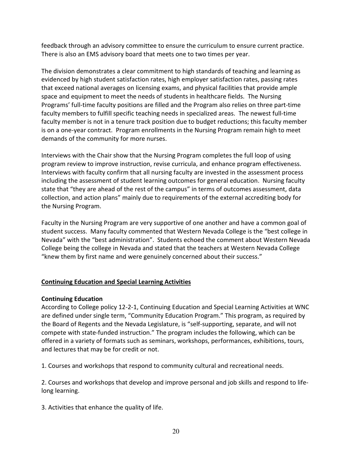feedback through an advisory committee to ensure the curriculum to ensure current practice. There is also an EMS advisory board that meets one to two times per year.

The division demonstrates a clear commitment to high standards of teaching and learning as evidenced by high student satisfaction rates, high employer satisfaction rates, passing rates that exceed national averages on licensing exams, and physical facilities that provide ample space and equipment to meet the needs of students in healthcare fields. The Nursing Programs' full-time faculty positions are filled and the Program also relies on three part-time faculty members to fulfill specific teaching needs in specialized areas. The newest full-time faculty member is not in a tenure track position due to budget reductions; this faculty member is on a one-year contract. Program enrollments in the Nursing Program remain high to meet demands of the community for more nurses.

Interviews with the Chair show that the Nursing Program completes the full loop of using program review to improve instruction, revise curricula, and enhance program effectiveness. Interviews with faculty confirm that all nursing faculty are invested in the assessment process including the assessment of student learning outcomes for general education. Nursing faculty state that "they are ahead of the rest of the campus" in terms of outcomes assessment, data collection, and action plans" mainly due to requirements of the external accrediting body for the Nursing Program.

Faculty in the Nursing Program are very supportive of one another and have a common goal of student success. Many faculty commented that Western Nevada College is the "best college in Nevada" with the "best administration". Students echoed the comment about Western Nevada College being the college in Nevada and stated that the teachers at Western Nevada College "knew them by first name and were genuinely concerned about their success."

### Continuing Education and Special Learning Activities

### Continuing Education

According to College policy 12-2-1, Continuing Education and Special Learning Activities at WNC are defined under single term, "Community Education Program." This program, as required by the Board of Regents and the Nevada Legislature, is "self-supporting, separate, and will not compete with state-funded instruction." The program includes the following, which can be offered in a variety of formats such as seminars, workshops, performances, exhibitions, tours, and lectures that may be for credit or not.

1. Courses and workshops that respond to community cultural and recreational needs.

2. Courses and workshops that develop and improve personal and job skills and respond to lifelong learning.

3. Activities that enhance the quality of life.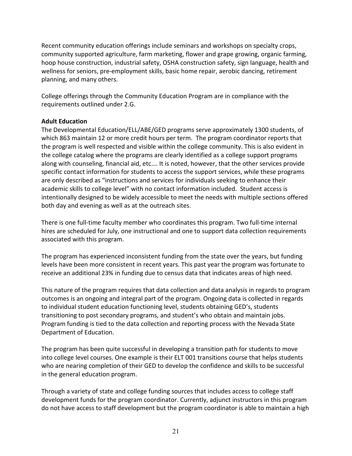Recent community education offerings include seminars and workshops on specialty crops, community supported agriculture, farm marketing, flower and grape growing, organic farming, hoop house construction, industrial safety, OSHA construction safety, sign language, health and wellness for seniors, pre-employment skills, basic home repair, aerobic dancing, retirement planning, and many others.

College offerings through the Community Education Program are in compliance with the requirements outlined under 2.G.

### Adult Education

The Developmental Education/ELL/ABE/GED programs serve approximately 1300 students, of which 863 maintain 12 or more credit hours per term. The program coordinator reports that the program is well respected and visible within the college community. This is also evident in the college catalog where the programs are clearly identified as a college support programs along with counseling, financial aid, etc…. It is noted, however, that the other services provide specific contact information for students to access the support services, while these programs are only described as "instructions and services for individuals seeking to enhance their academic skills to college level" with no contact information included. Student access is intentionally designed to be widely accessible to meet the needs with multiple sections offered both day and evening as well as at the outreach sites.

There is one full-time faculty member who coordinates this program. Two full-time internal hires are scheduled for July, one instructional and one to support data collection requirements associated with this program.

The program has experienced inconsistent funding from the state over the years, but funding levels have been more consistent in recent years. This past year the program was fortunate to receive an additional 23% in funding due to census data that indicates areas of high need.

This nature of the program requires that data collection and data analysis in regards to program outcomes is an ongoing and integral part of the program. Ongoing data is collected in regards to individual student education functioning level, students obtaining GED's, students transitioning to post secondary programs, and student's who obtain and maintain jobs. Program funding is tied to the data collection and reporting process with the Nevada State Department of Education.

The program has been quite successful in developing a transition path for students to move into college level courses. One example is their ELT 001 transitions course that helps students who are nearing completion of their GED to develop the confidence and skills to be successful in the general education program.

Through a variety of state and college funding sources that includes access to college staff development funds for the program coordinator. Currently, adjunct instructors in this program do not have access to staff development but the program coordinator is able to maintain a high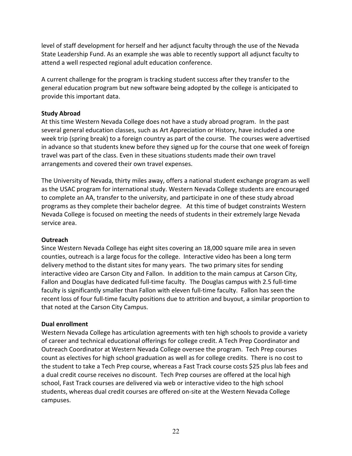level of staff development for herself and her adjunct faculty through the use of the Nevada State Leadership Fund. As an example she was able to recently support all adjunct faculty to attend a well respected regional adult education conference.

A current challenge for the program is tracking student success after they transfer to the general education program but new software being adopted by the college is anticipated to provide this important data.

### Study Abroad

At this time Western Nevada College does not have a study abroad program. In the past several general education classes, such as Art Appreciation or History, have included a one week trip (spring break) to a foreign country as part of the course. The courses were advertised in advance so that students knew before they signed up for the course that one week of foreign travel was part of the class. Even in these situations students made their own travel arrangements and covered their own travel expenses.

The University of Nevada, thirty miles away, offers a national student exchange program as well as the USAC program for international study. Western Nevada College students are encouraged to complete an AA, transfer to the university, and participate in one of these study abroad programs as they complete their bachelor degree. At this time of budget constraints Western Nevada College is focused on meeting the needs of students in their extremely large Nevada service area.

#### **Outreach**

Since Western Nevada College has eight sites covering an 18,000 square mile area in seven counties, outreach is a large focus for the college. Interactive video has been a long term delivery method to the distant sites for many years. The two primary sites for sending interactive video are Carson City and Fallon. In addition to the main campus at Carson City, Fallon and Douglas have dedicated full-time faculty. The Douglas campus with 2.5 full-time faculty is significantly smaller than Fallon with eleven full-time faculty. Fallon has seen the recent loss of four full-time faculty positions due to attrition and buyout, a similar proportion to that noted at the Carson City Campus.

#### Dual enrollment

Western Nevada College has articulation agreements with ten high schools to provide a variety of career and technical educational offerings for college credit. A Tech Prep Coordinator and Outreach Coordinator at Western Nevada College oversee the program. Tech Prep courses count as electives for high school graduation as well as for college credits. There is no cost to the student to take a Tech Prep course, whereas a Fast Track course costs \$25 plus lab fees and a dual credit course receives no discount. Tech Prep courses are offered at the local high school, Fast Track courses are delivered via web or interactive video to the high school students, whereas dual credit courses are offered on-site at the Western Nevada College campuses.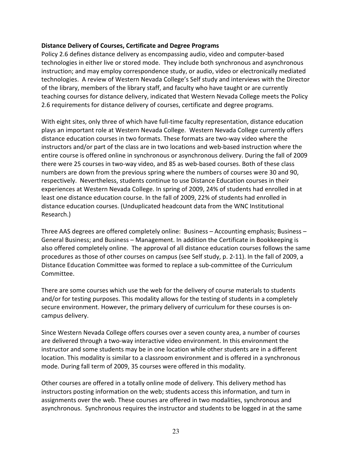#### Distance Delivery of Courses, Certificate and Degree Programs

Policy 2.6 defines distance delivery as encompassing audio, video and computer-based technologies in either live or stored mode. They include both synchronous and asynchronous instruction; and may employ correspondence study, or audio, video or electronically mediated technologies. A review of Western Nevada College's Self study and interviews with the Director of the library, members of the library staff, and faculty who have taught or are currently teaching courses for distance delivery, indicated that Western Nevada College meets the Policy 2.6 requirements for distance delivery of courses, certificate and degree programs.

With eight sites, only three of which have full-time faculty representation, distance education plays an important role at Western Nevada College. Western Nevada College currently offers distance education courses in two formats. These formats are two-way video where the instructors and/or part of the class are in two locations and web-based instruction where the entire course is offered online in synchronous or asynchronous delivery. During the fall of 2009 there were 25 courses in two-way video, and 85 as web-based courses. Both of these class numbers are down from the previous spring where the numbers of courses were 30 and 90, respectively. Nevertheless, students continue to use Distance Education courses in their experiences at Western Nevada College. In spring of 2009, 24% of students had enrolled in at least one distance education course. In the fall of 2009, 22% of students had enrolled in distance education courses. (Unduplicated headcount data from the WNC Institutional Research.)

Three AAS degrees are offered completely online: Business – Accounting emphasis; Business – General Business; and Business – Management. In addition the Certificate in Bookkeeping is also offered completely online. The approval of all distance education courses follows the same procedures as those of other courses on campus (see Self study, p. 2-11). In the fall of 2009, a Distance Education Committee was formed to replace a sub-committee of the Curriculum Committee.

There are some courses which use the web for the delivery of course materials to students and/or for testing purposes. This modality allows for the testing of students in a completely secure environment. However, the primary delivery of curriculum for these courses is oncampus delivery.

Since Western Nevada College offers courses over a seven county area, a number of courses are delivered through a two-way interactive video environment. In this environment the instructor and some students may be in one location while other students are in a different location. This modality is similar to a classroom environment and is offered in a synchronous mode. During fall term of 2009, 35 courses were offered in this modality.

Other courses are offered in a totally online mode of delivery. This delivery method has instructors posting information on the web; students access this information, and turn in assignments over the web. These courses are offered in two modalities, synchronous and asynchronous. Synchronous requires the instructor and students to be logged in at the same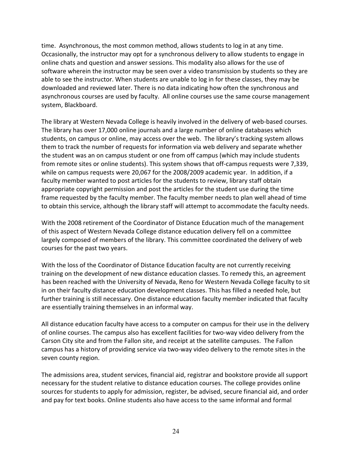time. Asynchronous, the most common method, allows students to log in at any time. Occasionally, the instructor may opt for a synchronous delivery to allow students to engage in online chats and question and answer sessions. This modality also allows for the use of software wherein the instructor may be seen over a video transmission by students so they are able to see the instructor. When students are unable to log in for these classes, they may be downloaded and reviewed later. There is no data indicating how often the synchronous and asynchronous courses are used by faculty. All online courses use the same course management system, Blackboard.

The library at Western Nevada College is heavily involved in the delivery of web-based courses. The library has over 17,000 online journals and a large number of online databases which students, on campus or online, may access over the web. The library's tracking system allows them to track the number of requests for information via web delivery and separate whether the student was an on campus student or one from off campus (which may include students from remote sites or online students). This system shows that off-campus requests were 7,339, while on campus requests were 20,067 for the 2008/2009 academic year. In addition, if a faculty member wanted to post articles for the students to review, library staff obtain appropriate copyright permission and post the articles for the student use during the time frame requested by the faculty member. The faculty member needs to plan well ahead of time to obtain this service, although the library staff will attempt to accommodate the faculty needs.

With the 2008 retirement of the Coordinator of Distance Education much of the management of this aspect of Western Nevada College distance education delivery fell on a committee largely composed of members of the library. This committee coordinated the delivery of web courses for the past two years.

With the loss of the Coordinator of Distance Education faculty are not currently receiving training on the development of new distance education classes. To remedy this, an agreement has been reached with the University of Nevada, Reno for Western Nevada College faculty to sit in on their faculty distance education development classes. This has filled a needed hole, but further training is still necessary. One distance education faculty member indicated that faculty are essentially training themselves in an informal way.

All distance education faculty have access to a computer on campus for their use in the delivery of online courses. The campus also has excellent facilities for two-way video delivery from the Carson City site and from the Fallon site, and receipt at the satellite campuses. The Fallon campus has a history of providing service via two-way video delivery to the remote sites in the seven county region.

The admissions area, student services, financial aid, registrar and bookstore provide all support necessary for the student relative to distance education courses. The college provides online sources for students to apply for admission, register, be advised, secure financial aid, and order and pay for text books. Online students also have access to the same informal and formal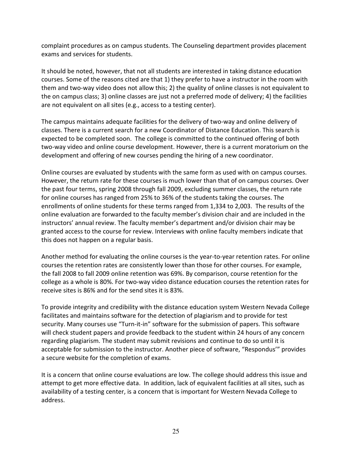complaint procedures as on campus students. The Counseling department provides placement exams and services for students.

It should be noted, however, that not all students are interested in taking distance education courses. Some of the reasons cited are that 1) they prefer to have a instructor in the room with them and two-way video does not allow this; 2) the quality of online classes is not equivalent to the on campus class; 3) online classes are just not a preferred mode of delivery; 4) the facilities are not equivalent on all sites (e.g., access to a testing center).

The campus maintains adequate facilities for the delivery of two-way and online delivery of classes. There is a current search for a new Coordinator of Distance Education. This search is expected to be completed soon. The college is committed to the continued offering of both two-way video and online course development. However, there is a current moratorium on the development and offering of new courses pending the hiring of a new coordinator.

Online courses are evaluated by students with the same form as used with on campus courses. However, the return rate for these courses is much lower than that of on campus courses. Over the past four terms, spring 2008 through fall 2009, excluding summer classes, the return rate for online courses has ranged from 25% to 36% of the students taking the courses. The enrollments of online students for these terms ranged from 1,334 to 2,003. The results of the online evaluation are forwarded to the faculty member's division chair and are included in the instructors' annual review. The faculty member's department and/or division chair may be granted access to the course for review. Interviews with online faculty members indicate that this does not happen on a regular basis.

Another method for evaluating the online courses is the year-to-year retention rates. For online courses the retention rates are consistently lower than those for other courses. For example, the fall 2008 to fall 2009 online retention was 69%. By comparison, course retention for the college as a whole is 80%. For two-way video distance education courses the retention rates for receive sites is 86% and for the send sites it is 83%.

To provide integrity and credibility with the distance education system Western Nevada College facilitates and maintains software for the detection of plagiarism and to provide for test security. Many courses use "Turn-it-in" software for the submission of papers. This software will check student papers and provide feedback to the student within 24 hours of any concern regarding plagiarism. The student may submit revisions and continue to do so until it is acceptable for submission to the instructor. Another piece of software, "Respondus'" provides a secure website for the completion of exams.

It is a concern that online course evaluations are low. The college should address this issue and attempt to get more effective data. In addition, lack of equivalent facilities at all sites, such as availability of a testing center, is a concern that is important for Western Nevada College to address.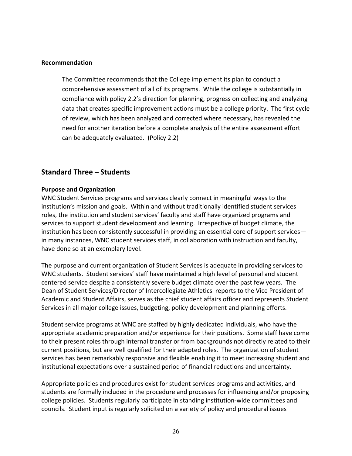#### Recommendation

The Committee recommends that the College implement its plan to conduct a comprehensive assessment of all of its programs. While the college is substantially in compliance with policy 2.2's direction for planning, progress on collecting and analyzing data that creates specific improvement actions must be a college priority. The first cycle of review, which has been analyzed and corrected where necessary, has revealed the need for another iteration before a complete analysis of the entire assessment effort can be adequately evaluated. (Policy 2.2)

### Standard Three – Students

#### Purpose and Organization

WNC Student Services programs and services clearly connect in meaningful ways to the institution's mission and goals. Within and without traditionally identified student services roles, the institution and student services' faculty and staff have organized programs and services to support student development and learning. Irrespective of budget climate, the institution has been consistently successful in providing an essential core of support services in many instances, WNC student services staff, in collaboration with instruction and faculty, have done so at an exemplary level.

The purpose and current organization of Student Services is adequate in providing services to WNC students. Student services' staff have maintained a high level of personal and student centered service despite a consistently severe budget climate over the past few years. The Dean of Student Services/Director of Intercollegiate Athletics reports to the Vice President of Academic and Student Affairs, serves as the chief student affairs officer and represents Student Services in all major college issues, budgeting, policy development and planning efforts.

Student service programs at WNC are staffed by highly dedicated individuals, who have the appropriate academic preparation and/or experience for their positions. Some staff have come to their present roles through internal transfer or from backgrounds not directly related to their current positions, but are well qualified for their adapted roles. The organization of student services has been remarkably responsive and flexible enabling it to meet increasing student and institutional expectations over a sustained period of financial reductions and uncertainty.

Appropriate policies and procedures exist for student services programs and activities, and students are formally included in the procedure and processes for influencing and/or proposing college policies. Students regularly participate in standing institution-wide committees and councils. Student input is regularly solicited on a variety of policy and procedural issues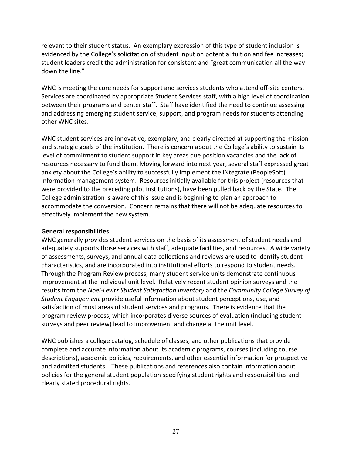relevant to their student status. An exemplary expression of this type of student inclusion is evidenced by the College's solicitation of student input on potential tuition and fee increases; student leaders credit the administration for consistent and "great communication all the way down the line."

WNC is meeting the core needs for support and services students who attend off-site centers. Services are coordinated by appropriate Student Services staff, with a high level of coordination between their programs and center staff. Staff have identified the need to continue assessing and addressing emerging student service, support, and program needs for students attending other WNC sites.

WNC student services are innovative, exemplary, and clearly directed at supporting the mission and strategic goals of the institution. There is concern about the College's ability to sustain its level of commitment to student support in key areas due position vacancies and the lack of resources necessary to fund them. Moving forward into next year, several staff expressed great anxiety about the College's ability to successfully implement the iNtegrate (PeopleSoft) information management system. Resources initially available for this project (resources that were provided to the preceding pilot institutions), have been pulled back by the State. The College administration is aware of this issue and is beginning to plan an approach to accommodate the conversion. Concern remains that there will not be adequate resources to effectively implement the new system.

#### General responsibilities

WNC generally provides student services on the basis of its assessment of student needs and adequately supports those services with staff, adequate facilities, and resources. A wide variety of assessments, surveys, and annual data collections and reviews are used to identify student characteristics, and are incorporated into institutional efforts to respond to student needs. Through the Program Review process, many student service units demonstrate continuous improvement at the individual unit level. Relatively recent student opinion surveys and the results from the Noel-Levitz Student Satisfaction Inventory and the Community College Survey of Student Engagement provide useful information about student perceptions, use, and satisfaction of most areas of student services and programs. There is evidence that the program review process, which incorporates diverse sources of evaluation (including student surveys and peer review) lead to improvement and change at the unit level.

WNC publishes a college catalog, schedule of classes, and other publications that provide complete and accurate information about its academic programs, courses (including course descriptions), academic policies, requirements, and other essential information for prospective and admitted students. These publications and references also contain information about policies for the general student population specifying student rights and responsibilities and clearly stated procedural rights.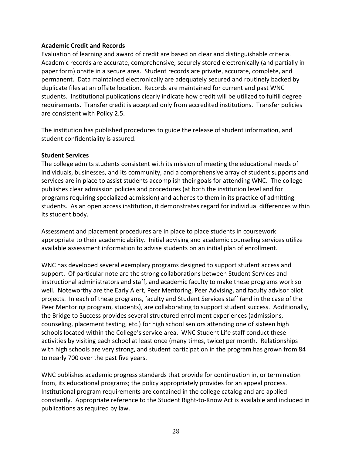#### Academic Credit and Records

Evaluation of learning and award of credit are based on clear and distinguishable criteria. Academic records are accurate, comprehensive, securely stored electronically (and partially in paper form) onsite in a secure area. Student records are private, accurate, complete, and permanent. Data maintained electronically are adequately secured and routinely backed by duplicate files at an offsite location. Records are maintained for current and past WNC students. Institutional publications clearly indicate how credit will be utilized to fulfill degree requirements. Transfer credit is accepted only from accredited institutions. Transfer policies are consistent with Policy 2.5.

The institution has published procedures to guide the release of student information, and student confidentiality is assured.

#### Student Services

The college admits students consistent with its mission of meeting the educational needs of individuals, businesses, and its community, and a comprehensive array of student supports and services are in place to assist students accomplish their goals for attending WNC. The college publishes clear admission policies and procedures (at both the institution level and for programs requiring specialized admission) and adheres to them in its practice of admitting students. As an open access institution, it demonstrates regard for individual differences within its student body.

Assessment and placement procedures are in place to place students in coursework appropriate to their academic ability. Initial advising and academic counseling services utilize available assessment information to advise students on an initial plan of enrollment.

WNC has developed several exemplary programs designed to support student access and support. Of particular note are the strong collaborations between Student Services and instructional administrators and staff, and academic faculty to make these programs work so well. Noteworthy are the Early Alert, Peer Mentoring, Peer Advising, and faculty advisor pilot projects. In each of these programs, faculty and Student Services staff (and in the case of the Peer Mentoring program, students), are collaborating to support student success. Additionally, the Bridge to Success provides several structured enrollment experiences (admissions, counseling, placement testing, etc.) for high school seniors attending one of sixteen high schools located within the College's service area. WNC Student Life staff conduct these activities by visiting each school at least once (many times, twice) per month. Relationships with high schools are very strong, and student participation in the program has grown from 84 to nearly 700 over the past five years.

WNC publishes academic progress standards that provide for continuation in, or termination from, its educational programs; the policy appropriately provides for an appeal process. Institutional program requirements are contained in the college catalog and are applied constantly. Appropriate reference to the Student Right-to-Know Act is available and included in publications as required by law.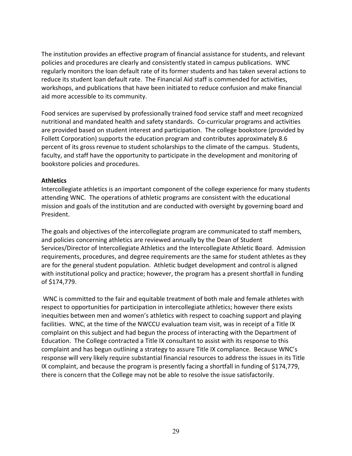The institution provides an effective program of financial assistance for students, and relevant policies and procedures are clearly and consistently stated in campus publications. WNC regularly monitors the loan default rate of its former students and has taken several actions to reduce its student loan default rate. The Financial Aid staff is commended for activities, workshops, and publications that have been initiated to reduce confusion and make financial aid more accessible to its community.

Food services are supervised by professionally trained food service staff and meet recognized nutritional and mandated health and safety standards. Co-curricular programs and activities are provided based on student interest and participation. The college bookstore (provided by Follett Corporation) supports the education program and contributes approximately 8.6 percent of its gross revenue to student scholarships to the climate of the campus. Students, faculty, and staff have the opportunity to participate in the development and monitoring of bookstore policies and procedures.

#### **Athletics**

Intercollegiate athletics is an important component of the college experience for many students attending WNC. The operations of athletic programs are consistent with the educational mission and goals of the institution and are conducted with oversight by governing board and President.

The goals and objectives of the intercollegiate program are communicated to staff members, and policies concerning athletics are reviewed annually by the Dean of Student Services/Director of Intercollegiate Athletics and the Intercollegiate Athletic Board. Admission requirements, procedures, and degree requirements are the same for student athletes as they are for the general student population. Athletic budget development and control is aligned with institutional policy and practice; however, the program has a present shortfall in funding of \$174,779.

 WNC is committed to the fair and equitable treatment of both male and female athletes with respect to opportunities for participation in intercollegiate athletics; however there exists inequities between men and women's athletics with respect to coaching support and playing facilities. WNC, at the time of the NWCCU evaluation team visit, was in receipt of a Title IX complaint on this subject and had begun the process of interacting with the Department of Education. The College contracted a Title IX consultant to assist with its response to this complaint and has begun outlining a strategy to assure Title IX compliance. Because WNC's response will very likely require substantial financial resources to address the issues in its Title IX complaint, and because the program is presently facing a shortfall in funding of \$174,779, there is concern that the College may not be able to resolve the issue satisfactorily.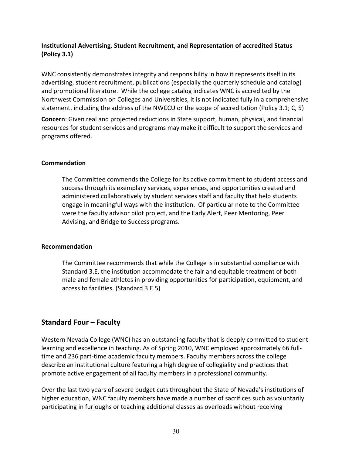### Institutional Advertising, Student Recruitment, and Representation of accredited Status (Policy 3.1)

WNC consistently demonstrates integrity and responsibility in how it represents itself in its advertising, student recruitment, publications (especially the quarterly schedule and catalog) and promotional literature. While the college catalog indicates WNC is accredited by the Northwest Commission on Colleges and Universities, it is not indicated fully in a comprehensive statement, including the address of the NWCCU or the scope of accreditation (Policy 3.1; C, 5)

Concern: Given real and projected reductions in State support, human, physical, and financial resources for student services and programs may make it difficult to support the services and programs offered.

#### Commendation

The Committee commends the College for its active commitment to student access and success through its exemplary services, experiences, and opportunities created and administered collaboratively by student services staff and faculty that help students engage in meaningful ways with the institution. Of particular note to the Committee were the faculty advisor pilot project, and the Early Alert, Peer Mentoring, Peer Advising, and Bridge to Success programs.

#### Recommendation

The Committee recommends that while the College is in substantial compliance with Standard 3.E, the institution accommodate the fair and equitable treatment of both male and female athletes in providing opportunities for participation, equipment, and access to facilities. (Standard 3.E.5)

### Standard Four – Faculty

Western Nevada College (WNC) has an outstanding faculty that is deeply committed to student learning and excellence in teaching. As of Spring 2010, WNC employed approximately 66 fulltime and 236 part-time academic faculty members. Faculty members across the college describe an institutional culture featuring a high degree of collegiality and practices that promote active engagement of all faculty members in a professional community.

Over the last two years of severe budget cuts throughout the State of Nevada's institutions of higher education, WNC faculty members have made a number of sacrifices such as voluntarily participating in furloughs or teaching additional classes as overloads without receiving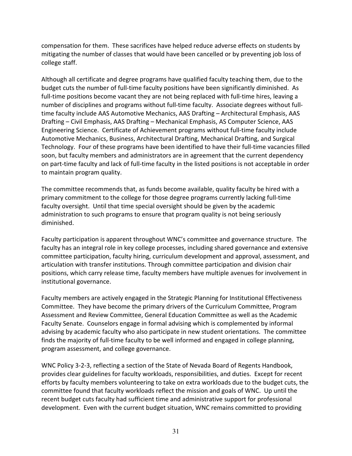compensation for them. These sacrifices have helped reduce adverse effects on students by mitigating the number of classes that would have been cancelled or by preventing job loss of college staff.

Although all certificate and degree programs have qualified faculty teaching them, due to the budget cuts the number of full-time faculty positions have been significantly diminished. As full-time positions become vacant they are not being replaced with full-time hires, leaving a number of disciplines and programs without full-time faculty. Associate degrees without fulltime faculty include AAS Automotive Mechanics, AAS Drafting – Architectural Emphasis, AAS Drafting – Civil Emphasis, AAS Drafting – Mechanical Emphasis, AS Computer Science, AAS Engineering Science. Certificate of Achievement programs without full-time faculty include Automotive Mechanics, Business, Architectural Drafting, Mechanical Drafting, and Surgical Technology. Four of these programs have been identified to have their full-time vacancies filled soon, but faculty members and administrators are in agreement that the current dependency on part-time faculty and lack of full-time faculty in the listed positions is not acceptable in order to maintain program quality.

The committee recommends that, as funds become available, quality faculty be hired with a primary commitment to the college for those degree programs currently lacking full-time faculty oversight. Until that time special oversight should be given by the academic administration to such programs to ensure that program quality is not being seriously diminished.

Faculty participation is apparent throughout WNC's committee and governance structure. The faculty has an integral role in key college processes, including shared governance and extensive committee participation, faculty hiring, curriculum development and approval, assessment, and articulation with transfer institutions. Through committee participation and division chair positions, which carry release time, faculty members have multiple avenues for involvement in institutional governance.

Faculty members are actively engaged in the Strategic Planning for Institutional Effectiveness Committee. They have become the primary drivers of the Curriculum Committee, Program Assessment and Review Committee, General Education Committee as well as the Academic Faculty Senate. Counselors engage in formal advising which is complemented by informal advising by academic faculty who also participate in new student orientations. The committee finds the majority of full-time faculty to be well informed and engaged in college planning, program assessment, and college governance.

WNC Policy 3-2-3, reflecting a section of the State of Nevada Board of Regents Handbook, provides clear guidelines for faculty workloads, responsibilities, and duties. Except for recent efforts by faculty members volunteering to take on extra workloads due to the budget cuts, the committee found that faculty workloads reflect the mission and goals of WNC. Up until the recent budget cuts faculty had sufficient time and administrative support for professional development. Even with the current budget situation, WNC remains committed to providing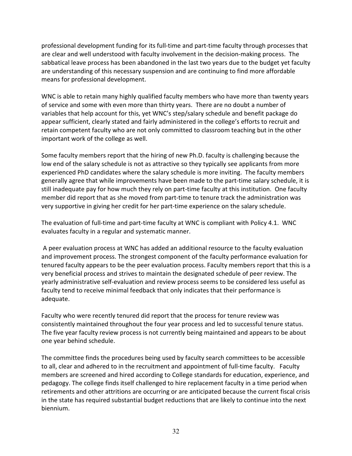professional development funding for its full-time and part-time faculty through processes that are clear and well understood with faculty involvement in the decision-making process. The sabbatical leave process has been abandoned in the last two years due to the budget yet faculty are understanding of this necessary suspension and are continuing to find more affordable means for professional development.

WNC is able to retain many highly qualified faculty members who have more than twenty years of service and some with even more than thirty years. There are no doubt a number of variables that help account for this, yet WNC's step/salary schedule and benefit package do appear sufficient, clearly stated and fairly administered in the college's efforts to recruit and retain competent faculty who are not only committed to classroom teaching but in the other important work of the college as well.

Some faculty members report that the hiring of new Ph.D. faculty is challenging because the low end of the salary schedule is not as attractive so they typically see applicants from more experienced PhD candidates where the salary schedule is more inviting. The faculty members generally agree that while improvements have been made to the part-time salary schedule, it is still inadequate pay for how much they rely on part-time faculty at this institution. One faculty member did report that as she moved from part-time to tenure track the administration was very supportive in giving her credit for her part-time experience on the salary schedule.

The evaluation of full-time and part-time faculty at WNC is compliant with Policy 4.1. WNC evaluates faculty in a regular and systematic manner.

 A peer evaluation process at WNC has added an additional resource to the faculty evaluation and improvement process. The strongest component of the faculty performance evaluation for tenured faculty appears to be the peer evaluation process. Faculty members report that this is a very beneficial process and strives to maintain the designated schedule of peer review. The yearly administrative self-evaluation and review process seems to be considered less useful as faculty tend to receive minimal feedback that only indicates that their performance is adequate.

Faculty who were recently tenured did report that the process for tenure review was consistently maintained throughout the four year process and led to successful tenure status. The five year faculty review process is not currently being maintained and appears to be about one year behind schedule.

The committee finds the procedures being used by faculty search committees to be accessible to all, clear and adhered to in the recruitment and appointment of full-time faculty. Faculty members are screened and hired according to College standards for education, experience, and pedagogy. The college finds itself challenged to hire replacement faculty in a time period when retirements and other attritions are occurring or are anticipated because the current fiscal crisis in the state has required substantial budget reductions that are likely to continue into the next biennium.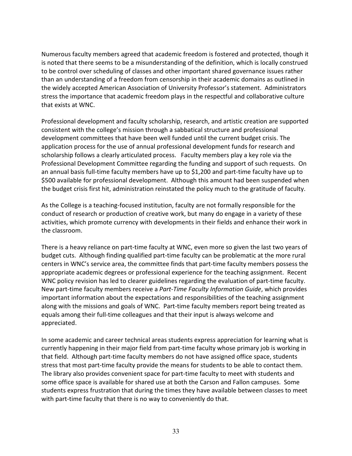Numerous faculty members agreed that academic freedom is fostered and protected, though it is noted that there seems to be a misunderstanding of the definition, which is locally construed to be control over scheduling of classes and other important shared governance issues rather than an understanding of a freedom from censorship in their academic domains as outlined in the widely accepted American Association of University Professor's statement. Administrators stress the importance that academic freedom plays in the respectful and collaborative culture that exists at WNC.

Professional development and faculty scholarship, research, and artistic creation are supported consistent with the college's mission through a sabbatical structure and professional development committees that have been well funded until the current budget crisis. The application process for the use of annual professional development funds for research and scholarship follows a clearly articulated process. Faculty members play a key role via the Professional Development Committee regarding the funding and support of such requests. On an annual basis full-time faculty members have up to \$1,200 and part-time faculty have up to \$500 available for professional development. Although this amount had been suspended when the budget crisis first hit, administration reinstated the policy much to the gratitude of faculty.

As the College is a teaching-focused institution, faculty are not formally responsible for the conduct of research or production of creative work, but many do engage in a variety of these activities, which promote currency with developments in their fields and enhance their work in the classroom.

There is a heavy reliance on part-time faculty at WNC, even more so given the last two years of budget cuts. Although finding qualified part-time faculty can be problematic at the more rural centers in WNC's service area, the committee finds that part-time faculty members possess the appropriate academic degrees or professional experience for the teaching assignment. Recent WNC policy revision has led to clearer guidelines regarding the evaluation of part-time faculty. New part-time faculty members receive a Part-Time Faculty Information Guide, which provides important information about the expectations and responsibilities of the teaching assignment along with the missions and goals of WNC. Part-time faculty members report being treated as equals among their full-time colleagues and that their input is always welcome and appreciated.

In some academic and career technical areas students express appreciation for learning what is currently happening in their major field from part-time faculty whose primary job is working in that field. Although part-time faculty members do not have assigned office space, students stress that most part-time faculty provide the means for students to be able to contact them. The library also provides convenient space for part-time faculty to meet with students and some office space is available for shared use at both the Carson and Fallon campuses. Some students express frustration that during the times they have available between classes to meet with part-time faculty that there is no way to conveniently do that.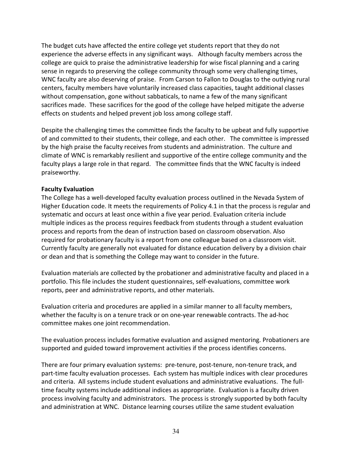The budget cuts have affected the entire college yet students report that they do not experience the adverse effects in any significant ways. Although faculty members across the college are quick to praise the administrative leadership for wise fiscal planning and a caring sense in regards to preserving the college community through some very challenging times, WNC faculty are also deserving of praise. From Carson to Fallon to Douglas to the outlying rural centers, faculty members have voluntarily increased class capacities, taught additional classes without compensation, gone without sabbaticals, to name a few of the many significant sacrifices made. These sacrifices for the good of the college have helped mitigate the adverse effects on students and helped prevent job loss among college staff.

Despite the challenging times the committee finds the faculty to be upbeat and fully supportive of and committed to their students, their college, and each other. The committee is impressed by the high praise the faculty receives from students and administration. The culture and climate of WNC is remarkably resilient and supportive of the entire college community and the faculty plays a large role in that regard. The committee finds that the WNC faculty is indeed praiseworthy.

#### Faculty Evaluation

The College has a well-developed faculty evaluation process outlined in the Nevada System of Higher Education code. It meets the requirements of Policy 4.1 in that the process is regular and systematic and occurs at least once within a five year period. Evaluation criteria include multiple indices as the process requires feedback from students through a student evaluation process and reports from the dean of instruction based on classroom observation. Also required for probationary faculty is a report from one colleague based on a classroom visit. Currently faculty are generally not evaluated for distance education delivery by a division chair or dean and that is something the College may want to consider in the future.

Evaluation materials are collected by the probationer and administrative faculty and placed in a portfolio. This file includes the student questionnaires, self-evaluations, committee work reports, peer and administrative reports, and other materials.

Evaluation criteria and procedures are applied in a similar manner to all faculty members, whether the faculty is on a tenure track or on one-year renewable contracts. The ad-hoc committee makes one joint recommendation.

The evaluation process includes formative evaluation and assigned mentoring. Probationers are supported and guided toward improvement activities if the process identifies concerns.

There are four primary evaluation systems: pre-tenure, post-tenure, non-tenure track, and part-time faculty evaluation processes. Each system has multiple indices with clear procedures and criteria. All systems include student evaluations and administrative evaluations. The fulltime faculty systems include additional indices as appropriate. Evaluation is a faculty driven process involving faculty and administrators. The process is strongly supported by both faculty and administration at WNC. Distance learning courses utilize the same student evaluation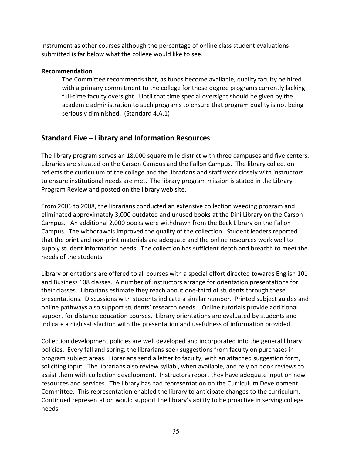instrument as other courses although the percentage of online class student evaluations submitted is far below what the college would like to see.

#### Recommendation

The Committee recommends that, as funds become available, quality faculty be hired with a primary commitment to the college for those degree programs currently lacking full-time faculty oversight. Until that time special oversight should be given by the academic administration to such programs to ensure that program quality is not being seriously diminished. (Standard 4.A.1)

### Standard Five – Library and Information Resources

The library program serves an 18,000 square mile district with three campuses and five centers. Libraries are situated on the Carson Campus and the Fallon Campus. The library collection reflects the curriculum of the college and the librarians and staff work closely with instructors to ensure institutional needs are met. The library program mission is stated in the Library Program Review and posted on the library web site.

From 2006 to 2008, the librarians conducted an extensive collection weeding program and eliminated approximately 3,000 outdated and unused books at the Dini Library on the Carson Campus. An additional 2,000 books were withdrawn from the Beck Library on the Fallon Campus. The withdrawals improved the quality of the collection. Student leaders reported that the print and non-print materials are adequate and the online resources work well to supply student information needs. The collection has sufficient depth and breadth to meet the needs of the students.

Library orientations are offered to all courses with a special effort directed towards English 101 and Business 108 classes. A number of instructors arrange for orientation presentations for their classes. Librarians estimate they reach about one-third of students through these presentations. Discussions with students indicate a similar number. Printed subject guides and online pathways also support students' research needs. Online tutorials provide additional support for distance education courses. Library orientations are evaluated by students and indicate a high satisfaction with the presentation and usefulness of information provided.

Collection development policies are well developed and incorporated into the general library policies. Every fall and spring, the librarians seek suggestions from faculty on purchases in program subject areas. Librarians send a letter to faculty, with an attached suggestion form, soliciting input. The librarians also review syllabi, when available, and rely on book reviews to assist them with collection development. Instructors report they have adequate input on new resources and services. The library has had representation on the Curriculum Development Committee. This representation enabled the library to anticipate changes to the curriculum. Continued representation would support the library's ability to be proactive in serving college needs.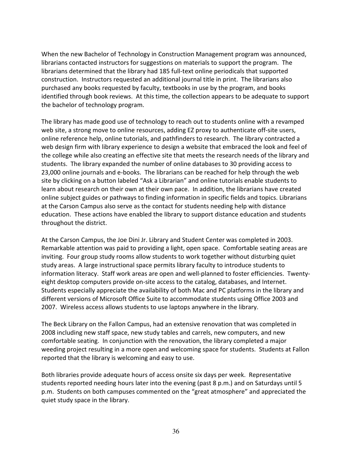When the new Bachelor of Technology in Construction Management program was announced, librarians contacted instructors for suggestions on materials to support the program. The librarians determined that the library had 185 full-text online periodicals that supported construction. Instructors requested an additional journal title in print. The librarians also purchased any books requested by faculty, textbooks in use by the program, and books identified through book reviews. At this time, the collection appears to be adequate to support the bachelor of technology program.

The library has made good use of technology to reach out to students online with a revamped web site, a strong move to online resources, adding EZ proxy to authenticate off-site users, online reference help, online tutorials, and pathfinders to research. The library contracted a web design firm with library experience to design a website that embraced the look and feel of the college while also creating an effective site that meets the research needs of the library and students. The library expanded the number of online databases to 30 providing access to 23,000 online journals and e-books. The librarians can be reached for help through the web site by clicking on a button labeled "Ask a Librarian" and online tutorials enable students to learn about research on their own at their own pace. In addition, the librarians have created online subject guides or pathways to finding information in specific fields and topics. Librarians at the Carson Campus also serve as the contact for students needing help with distance education. These actions have enabled the library to support distance education and students throughout the district.

At the Carson Campus, the Joe Dini Jr. Library and Student Center was completed in 2003. Remarkable attention was paid to providing a light, open space. Comfortable seating areas are inviting. Four group study rooms allow students to work together without disturbing quiet study areas. A large instructional space permits library faculty to introduce students to information literacy. Staff work areas are open and well-planned to foster efficiencies. Twentyeight desktop computers provide on-site access to the catalog, databases, and Internet. Students especially appreciate the availability of both Mac and PC platforms in the library and different versions of Microsoft Office Suite to accommodate students using Office 2003 and 2007. Wireless access allows students to use laptops anywhere in the library.

The Beck Library on the Fallon Campus, had an extensive renovation that was completed in 2008 including new staff space, new study tables and carrels, new computers, and new comfortable seating. In conjunction with the renovation, the library completed a major weeding project resulting in a more open and welcoming space for students. Students at Fallon reported that the library is welcoming and easy to use.

Both libraries provide adequate hours of access onsite six days per week. Representative students reported needing hours later into the evening (past 8 p.m.) and on Saturdays until 5 p.m. Students on both campuses commented on the "great atmosphere" and appreciated the quiet study space in the library.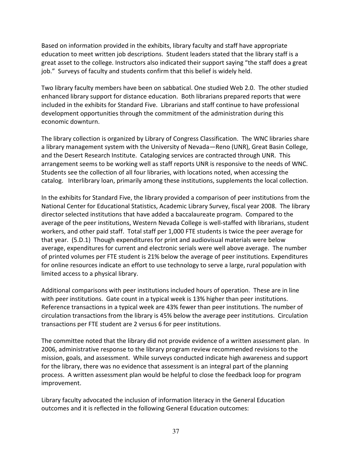Based on information provided in the exhibits, library faculty and staff have appropriate education to meet written job descriptions. Student leaders stated that the library staff is a great asset to the college. Instructors also indicated their support saying "the staff does a great job." Surveys of faculty and students confirm that this belief is widely held.

Two library faculty members have been on sabbatical. One studied Web 2.0. The other studied enhanced library support for distance education. Both librarians prepared reports that were included in the exhibits for Standard Five. Librarians and staff continue to have professional development opportunities through the commitment of the administration during this economic downturn.

The library collection is organized by Library of Congress Classification. The WNC libraries share a library management system with the University of Nevada—Reno (UNR), Great Basin College, and the Desert Research Institute. Cataloging services are contracted through UNR. This arrangement seems to be working well as staff reports UNR is responsive to the needs of WNC. Students see the collection of all four libraries, with locations noted, when accessing the catalog. Interlibrary loan, primarily among these institutions, supplements the local collection.

In the exhibits for Standard Five, the library provided a comparison of peer institutions from the National Center for Educational Statistics, Academic Library Survey, fiscal year 2008. The library director selected institutions that have added a baccalaureate program. Compared to the average of the peer institutions, Western Nevada College is well-staffed with librarians, student workers, and other paid staff. Total staff per 1,000 FTE students is twice the peer average for that year. (5.D.1) Though expenditures for print and audiovisual materials were below average, expenditures for current and electronic serials were well above average. The number of printed volumes per FTE student is 21% below the average of peer institutions. Expenditures for online resources indicate an effort to use technology to serve a large, rural population with limited access to a physical library.

Additional comparisons with peer institutions included hours of operation. These are in line with peer institutions. Gate count in a typical week is 13% higher than peer institutions. Reference transactions in a typical week are 43% fewer than peer institutions. The number of circulation transactions from the library is 45% below the average peer institutions. Circulation transactions per FTE student are 2 versus 6 for peer institutions.

The committee noted that the library did not provide evidence of a written assessment plan. In 2006, administrative response to the library program review recommended revisions to the mission, goals, and assessment. While surveys conducted indicate high awareness and support for the library, there was no evidence that assessment is an integral part of the planning process. A written assessment plan would be helpful to close the feedback loop for program improvement.

Library faculty advocated the inclusion of information literacy in the General Education outcomes and it is reflected in the following General Education outcomes: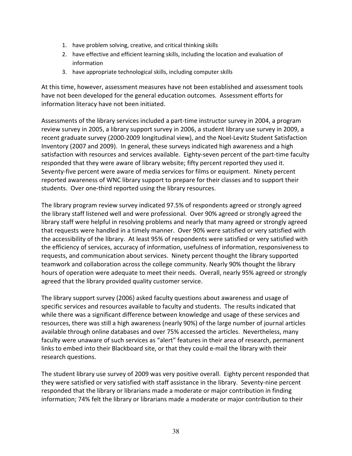- 1. have problem solving, creative, and critical thinking skills
- 2. have effective and efficient learning skills, including the location and evaluation of information
- 3. have appropriate technological skills, including computer skills

At this time, however, assessment measures have not been established and assessment tools have not been developed for the general education outcomes. Assessment efforts for information literacy have not been initiated.

Assessments of the library services included a part-time instructor survey in 2004, a program review survey in 2005, a library support survey in 2006, a student library use survey in 2009, a recent graduate survey (2000-2009 longitudinal view), and the Noel-Levitz Student Satisfaction Inventory (2007 and 2009). In general, these surveys indicated high awareness and a high satisfaction with resources and services available. Eighty-seven percent of the part-time faculty responded that they were aware of library website; fifty percent reported they used it. Seventy-five percent were aware of media services for films or equipment. Ninety percent reported awareness of WNC library support to prepare for their classes and to support their students. Over one-third reported using the library resources.

The library program review survey indicated 97.5% of respondents agreed or strongly agreed the library staff listened well and were professional. Over 90% agreed or strongly agreed the library staff were helpful in resolving problems and nearly that many agreed or strongly agreed that requests were handled in a timely manner. Over 90% were satisfied or very satisfied with the accessibility of the library. At least 95% of respondents were satisfied or very satisfied with the efficiency of services, accuracy of information, usefulness of information, responsiveness to requests, and communication about services. Ninety percent thought the library supported teamwork and collaboration across the college community. Nearly 90% thought the library hours of operation were adequate to meet their needs. Overall, nearly 95% agreed or strongly agreed that the library provided quality customer service.

The library support survey (2006) asked faculty questions about awareness and usage of specific services and resources available to faculty and students. The results indicated that while there was a significant difference between knowledge and usage of these services and resources, there was still a high awareness (nearly 90%) of the large number of journal articles available through online databases and over 75% accessed the articles. Nevertheless, many faculty were unaware of such services as "alert" features in their area of research, permanent links to embed into their Blackboard site, or that they could e-mail the library with their research questions.

The student library use survey of 2009 was very positive overall. Eighty percent responded that they were satisfied or very satisfied with staff assistance in the library. Seventy-nine percent responded that the library or librarians made a moderate or major contribution in finding information; 74% felt the library or librarians made a moderate or major contribution to their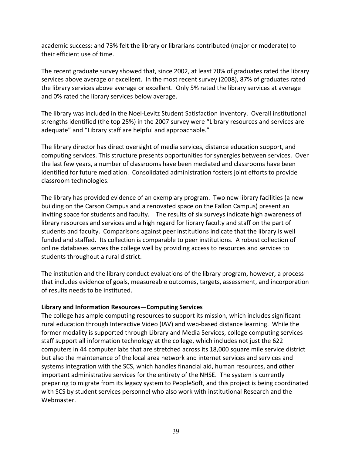academic success; and 73% felt the library or librarians contributed (major or moderate) to their efficient use of time.

The recent graduate survey showed that, since 2002, at least 70% of graduates rated the library services above average or excellent. In the most recent survey (2008), 87% of graduates rated the library services above average or excellent. Only 5% rated the library services at average and 0% rated the library services below average.

The library was included in the Noel-Levitz Student Satisfaction Inventory. Overall institutional strengths identified (the top 25%) in the 2007 survey were "Library resources and services are adequate" and "Library staff are helpful and approachable."

The library director has direct oversight of media services, distance education support, and computing services. This structure presents opportunities for synergies between services. Over the last few years, a number of classrooms have been mediated and classrooms have been identified for future mediation. Consolidated administration fosters joint efforts to provide classroom technologies.

The library has provided evidence of an exemplary program. Two new library facilities (a new building on the Carson Campus and a renovated space on the Fallon Campus) present an inviting space for students and faculty. The results of six surveys indicate high awareness of library resources and services and a high regard for library faculty and staff on the part of students and faculty. Comparisons against peer institutions indicate that the library is well funded and staffed. Its collection is comparable to peer institutions. A robust collection of online databases serves the college well by providing access to resources and services to students throughout a rural district.

The institution and the library conduct evaluations of the library program, however, a process that includes evidence of goals, measureable outcomes, targets, assessment, and incorporation of results needs to be instituted.

### Library and Information Resources—Computing Services

The college has ample computing resources to support its mission, which includes significant rural education through Interactive Video (IAV) and web-based distance learning. While the former modality is supported through Library and Media Services, college computing services staff support all information technology at the college, which includes not just the 622 computers in 44 computer labs that are stretched across its 18,000 square mile service district but also the maintenance of the local area network and internet services and services and systems integration with the SCS, which handles financial aid, human resources, and other important administrative services for the entirety of the NHSE. The system is currently preparing to migrate from its legacy system to PeopleSoft, and this project is being coordinated with SCS by student services personnel who also work with institutional Research and the Webmaster.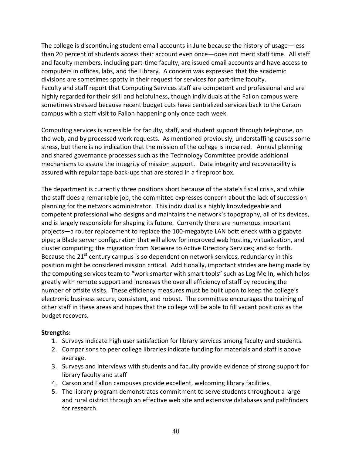The college is discontinuing student email accounts in June because the history of usage—less than 20 percent of students access their account even once—does not merit staff time. All staff and faculty members, including part-time faculty, are issued email accounts and have access to computers in offices, labs, and the Library. A concern was expressed that the academic divisions are sometimes spotty in their request for services for part-time faculty. Faculty and staff report that Computing Services staff are competent and professional and are highly regarded for their skill and helpfulness, though individuals at the Fallon campus were sometimes stressed because recent budget cuts have centralized services back to the Carson campus with a staff visit to Fallon happening only once each week.

Computing services is accessible for faculty, staff, and student support through telephone, on the web, and by processed work requests. As mentioned previously, understaffing causes some stress, but there is no indication that the mission of the college is impaired. Annual planning and shared governance processes such as the Technology Committee provide additional mechanisms to assure the integrity of mission support. Data integrity and recoverability is assured with regular tape back-ups that are stored in a fireproof box.

The department is currently three positions short because of the state's fiscal crisis, and while the staff does a remarkable job, the committee expresses concern about the lack of succession planning for the network administrator. This individual is a highly knowledgeable and competent professional who designs and maintains the network's topography, all of its devices, and is largely responsible for shaping its future. Currently there are numerous important projects—a router replacement to replace the 100-megabyte LAN bottleneck with a gigabyte pipe; a Blade server configuration that will allow for improved web hosting, virtualization, and cluster computing; the migration from Netware to Active Directory Services; and so forth. Because the  $21<sup>st</sup>$  century campus is so dependent on network services, redundancy in this position might be considered mission critical. Additionally, important strides are being made by the computing services team to "work smarter with smart tools" such as Log Me In, which helps greatly with remote support and increases the overall efficiency of staff by reducing the number of offsite visits. These efficiency measures must be built upon to keep the college's electronic business secure, consistent, and robust. The committee encourages the training of other staff in these areas and hopes that the college will be able to fill vacant positions as the budget recovers.

### Strengths:

- 1. Surveys indicate high user satisfaction for library services among faculty and students.
- 2. Comparisons to peer college libraries indicate funding for materials and staff is above average.
- 3. Surveys and interviews with students and faculty provide evidence of strong support for library faculty and staff
- 4. Carson and Fallon campuses provide excellent, welcoming library facilities.
- 5. The library program demonstrates commitment to serve students throughout a large and rural district through an effective web site and extensive databases and pathfinders for research.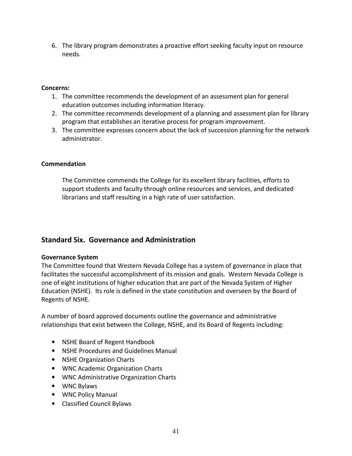6. The library program demonstrates a proactive effort seeking faculty input on resource needs.

#### Concerns:

- 1. The committee recommends the development of an assessment plan for general education outcomes including information literacy.
- 2. The committee recommends development of a planning and assessment plan for library program that establishes an iterative process for program improvement.
- 3. The committee expresses concern about the lack of succession planning for the network administrator.

#### Commendation

The Committee commends the College for its excellent library facilities, efforts to support students and faculty through online resources and services, and dedicated librarians and staff resulting in a high rate of user satisfaction.

### Standard Six. Governance and Administration

#### Governance System

The Committee found that Western Nevada College has a system of governance in place that facilitates the successful accomplishment of its mission and goals. Western Nevada College is one of eight institutions of higher education that are part of the Nevada System of Higher Education (NSHE). Its role is defined in the state constitution and overseen by the Board of Regents of NSHE.

A number of board approved documents outline the governance and administrative relationships that exist between the College, NSHE, and its Board of Regents including:

- NSHE Board of Regent Handbook
- NSHE Procedures and Guidelines Manual
- NSHE Organization Charts
- WNC Academic Organization Charts
- WNC Administrative Organization Charts
- WNC Bylaws
- WNC Policy Manual
- Classified Council Bylaws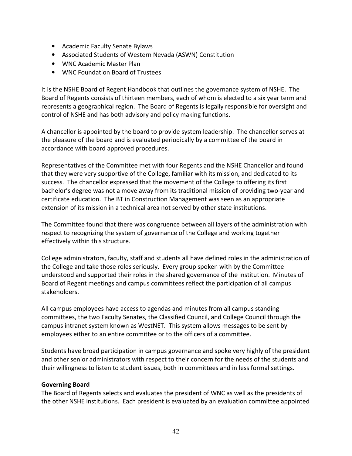- Academic Faculty Senate Bylaws
- Associated Students of Western Nevada (ASWN) Constitution
- WNC Academic Master Plan
- WNC Foundation Board of Trustees

It is the NSHE Board of Regent Handbook that outlines the governance system of NSHE. The Board of Regents consists of thirteen members, each of whom is elected to a six year term and represents a geographical region. The Board of Regents is legally responsible for oversight and control of NSHE and has both advisory and policy making functions.

A chancellor is appointed by the board to provide system leadership. The chancellor serves at the pleasure of the board and is evaluated periodically by a committee of the board in accordance with board approved procedures.

Representatives of the Committee met with four Regents and the NSHE Chancellor and found that they were very supportive of the College, familiar with its mission, and dedicated to its success. The chancellor expressed that the movement of the College to offering its first bachelor's degree was not a move away from its traditional mission of providing two-year and certificate education. The BT in Construction Management was seen as an appropriate extension of its mission in a technical area not served by other state institutions.

The Committee found that there was congruence between all layers of the administration with respect to recognizing the system of governance of the College and working together effectively within this structure.

College administrators, faculty, staff and students all have defined roles in the administration of the College and take those roles seriously. Every group spoken with by the Committee understood and supported their roles in the shared governance of the institution. Minutes of Board of Regent meetings and campus committees reflect the participation of all campus stakeholders.

All campus employees have access to agendas and minutes from all campus standing committees, the two Faculty Senates, the Classified Council, and College Council through the campus intranet system known as WestNET. This system allows messages to be sent by employees either to an entire committee or to the officers of a committee.

Students have broad participation in campus governance and spoke very highly of the president and other senior administrators with respect to their concern for the needs of the students and their willingness to listen to student issues, both in committees and in less formal settings.

### Governing Board

The Board of Regents selects and evaluates the president of WNC as well as the presidents of the other NSHE institutions. Each president is evaluated by an evaluation committee appointed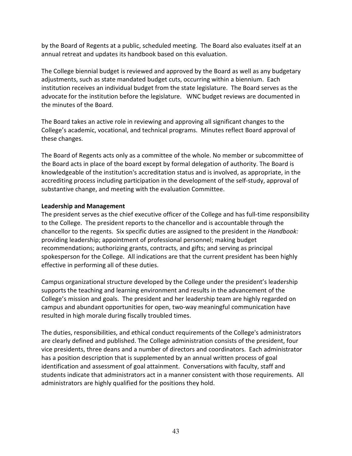by the Board of Regents at a public, scheduled meeting. The Board also evaluates itself at an annual retreat and updates its handbook based on this evaluation.

The College biennial budget is reviewed and approved by the Board as well as any budgetary adjustments, such as state mandated budget cuts, occurring within a biennium. Each institution receives an individual budget from the state legislature. The Board serves as the advocate for the institution before the legislature. WNC budget reviews are documented in the minutes of the Board.

The Board takes an active role in reviewing and approving all significant changes to the College's academic, vocational, and technical programs. Minutes reflect Board approval of these changes.

The Board of Regents acts only as a committee of the whole. No member or subcommittee of the Board acts in place of the board except by formal delegation of authority. The Board is knowledgeable of the institution's accreditation status and is involved, as appropriate, in the accrediting process including participation in the development of the self-study, approval of substantive change, and meeting with the evaluation Committee.

### Leadership and Management

The president serves as the chief executive officer of the College and has full-time responsibility to the College. The president reports to the chancellor and is accountable through the chancellor to the regents. Six specific duties are assigned to the president in the *Handbook:* providing leadership; appointment of professional personnel; making budget recommendations; authorizing grants, contracts, and gifts; and serving as principal spokesperson for the College. All indications are that the current president has been highly effective in performing all of these duties.

Campus organizational structure developed by the College under the president's leadership supports the teaching and learning environment and results in the advancement of the College's mission and goals. The president and her leadership team are highly regarded on campus and abundant opportunities for open, two-way meaningful communication have resulted in high morale during fiscally troubled times.

The duties, responsibilities, and ethical conduct requirements of the College's administrators are clearly defined and published. The College administration consists of the president, four vice presidents, three deans and a number of directors and coordinators. Each administrator has a position description that is supplemented by an annual written process of goal identification and assessment of goal attainment. Conversations with faculty, staff and students indicate that administrators act in a manner consistent with those requirements. All administrators are highly qualified for the positions they hold.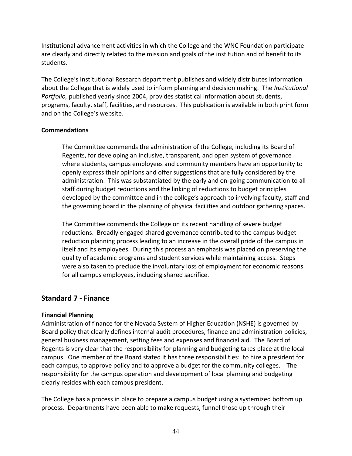Institutional advancement activities in which the College and the WNC Foundation participate are clearly and directly related to the mission and goals of the institution and of benefit to its students.

The College's Institutional Research department publishes and widely distributes information about the College that is widely used to inform planning and decision making. The *Institutional* Portfolio, published yearly since 2004, provides statistical information about students, programs, faculty, staff, facilities, and resources. This publication is available in both print form and on the College's website.

#### **Commendations**

The Committee commends the administration of the College, including its Board of Regents, for developing an inclusive, transparent, and open system of governance where students, campus employees and community members have an opportunity to openly express their opinions and offer suggestions that are fully considered by the administration. This was substantiated by the early and on-going communication to all staff during budget reductions and the linking of reductions to budget principles developed by the committee and in the college's approach to involving faculty, staff and the governing board in the planning of physical facilities and outdoor gathering spaces.

The Committee commends the College on its recent handling of severe budget reductions. Broadly engaged shared governance contributed to the campus budget reduction planning process leading to an increase in the overall pride of the campus in itself and its employees. During this process an emphasis was placed on preserving the quality of academic programs and student services while maintaining access. Steps were also taken to preclude the involuntary loss of employment for economic reasons for all campus employees, including shared sacrifice.

### Standard 7 - Finance

### Financial Planning

Administration of finance for the Nevada System of Higher Education (NSHE) is governed by Board policy that clearly defines internal audit procedures, finance and administration policies, general business management, setting fees and expenses and financial aid. The Board of Regents is very clear that the responsibility for planning and budgeting takes place at the local campus. One member of the Board stated it has three responsibilities: to hire a president for each campus, to approve policy and to approve a budget for the community colleges. The responsibility for the campus operation and development of local planning and budgeting clearly resides with each campus president.

The College has a process in place to prepare a campus budget using a systemized bottom up process. Departments have been able to make requests, funnel those up through their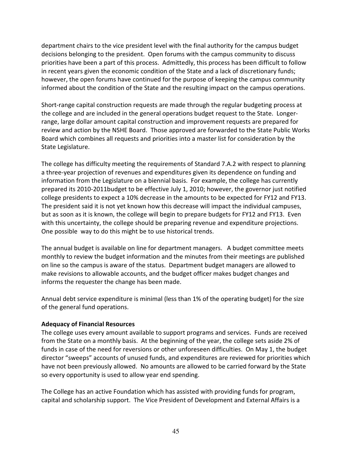department chairs to the vice president level with the final authority for the campus budget decisions belonging to the president. Open forums with the campus community to discuss priorities have been a part of this process. Admittedly, this process has been difficult to follow in recent years given the economic condition of the State and a lack of discretionary funds; however, the open forums have continued for the purpose of keeping the campus community informed about the condition of the State and the resulting impact on the campus operations.

Short-range capital construction requests are made through the regular budgeting process at the college and are included in the general operations budget request to the State. Longerrange, large dollar amount capital construction and improvement requests are prepared for review and action by the NSHE Board. Those approved are forwarded to the State Public Works Board which combines all requests and priorities into a master list for consideration by the State Legislature.

The college has difficulty meeting the requirements of Standard 7.A.2 with respect to planning a three-year projection of revenues and expenditures given its dependence on funding and information from the Legislature on a biennial basis. For example, the college has currently prepared its 2010-2011budget to be effective July 1, 2010; however, the governor just notified college presidents to expect a 10% decrease in the amounts to be expected for FY12 and FY13. The president said it is not yet known how this decrease will impact the individual campuses, but as soon as it is known, the college will begin to prepare budgets for FY12 and FY13. Even with this uncertainty, the college should be preparing revenue and expenditure projections. One possible way to do this might be to use historical trends.

The annual budget is available on line for department managers. A budget committee meets monthly to review the budget information and the minutes from their meetings are published on line so the campus is aware of the status. Department budget managers are allowed to make revisions to allowable accounts, and the budget officer makes budget changes and informs the requester the change has been made.

Annual debt service expenditure is minimal (less than 1% of the operating budget) for the size of the general fund operations.

### Adequacy of Financial Resources

The college uses every amount available to support programs and services. Funds are received from the State on a monthly basis. At the beginning of the year, the college sets aside 2% of funds in case of the need for reversions or other unforeseen difficulties. On May 1, the budget director "sweeps" accounts of unused funds, and expenditures are reviewed for priorities which have not been previously allowed. No amounts are allowed to be carried forward by the State so every opportunity is used to allow year end spending.

The College has an active Foundation which has assisted with providing funds for program, capital and scholarship support. The Vice President of Development and External Affairs is a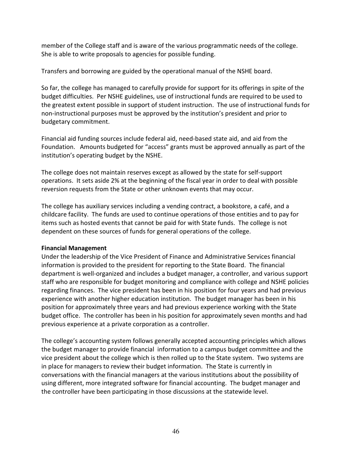member of the College staff and is aware of the various programmatic needs of the college. She is able to write proposals to agencies for possible funding.

Transfers and borrowing are guided by the operational manual of the NSHE board.

So far, the college has managed to carefully provide for support for its offerings in spite of the budget difficulties. Per NSHE guidelines, use of instructional funds are required to be used to the greatest extent possible in support of student instruction. The use of instructional funds for non-instructional purposes must be approved by the institution's president and prior to budgetary commitment.

Financial aid funding sources include federal aid, need-based state aid, and aid from the Foundation. Amounts budgeted for "access" grants must be approved annually as part of the institution's operating budget by the NSHE.

The college does not maintain reserves except as allowed by the state for self-support operations. It sets aside 2% at the beginning of the fiscal year in order to deal with possible reversion requests from the State or other unknown events that may occur.

The college has auxiliary services including a vending contract, a bookstore, a café, and a childcare facility. The funds are used to continue operations of those entities and to pay for items such as hosted events that cannot be paid for with State funds. The college is not dependent on these sources of funds for general operations of the college.

### Financial Management

Under the leadership of the Vice President of Finance and Administrative Services financial information is provided to the president for reporting to the State Board. The financial department is well-organized and includes a budget manager, a controller, and various support staff who are responsible for budget monitoring and compliance with college and NSHE policies regarding finances. The vice president has been in his position for four years and had previous experience with another higher education institution. The budget manager has been in his position for approximately three years and had previous experience working with the State budget office. The controller has been in his position for approximately seven months and had previous experience at a private corporation as a controller.

The college's accounting system follows generally accepted accounting principles which allows the budget manager to provide financial information to a campus budget committee and the vice president about the college which is then rolled up to the State system. Two systems are in place for managers to review their budget information. The State is currently in conversations with the financial managers at the various institutions about the possibility of using different, more integrated software for financial accounting. The budget manager and the controller have been participating in those discussions at the statewide level.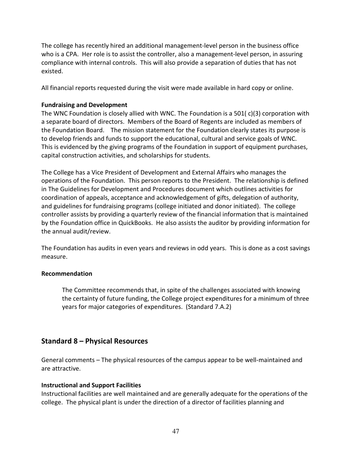The college has recently hired an additional management-level person in the business office who is a CPA. Her role is to assist the controller, also a management-level person, in assuring compliance with internal controls. This will also provide a separation of duties that has not existed.

All financial reports requested during the visit were made available in hard copy or online.

#### Fundraising and Development

The WNC Foundation is closely allied with WNC. The Foundation is a 501( $c$ )(3) corporation with a separate board of directors. Members of the Board of Regents are included as members of the Foundation Board. The mission statement for the Foundation clearly states its purpose is to develop friends and funds to support the educational, cultural and service goals of WNC. This is evidenced by the giving programs of the Foundation in support of equipment purchases, capital construction activities, and scholarships for students.

The College has a Vice President of Development and External Affairs who manages the operations of the Foundation. This person reports to the President. The relationship is defined in The Guidelines for Development and Procedures document which outlines activities for coordination of appeals, acceptance and acknowledgement of gifts, delegation of authority, and guidelines for fundraising programs (college initiated and donor initiated). The college controller assists by providing a quarterly review of the financial information that is maintained by the Foundation office in QuickBooks. He also assists the auditor by providing information for the annual audit/review.

The Foundation has audits in even years and reviews in odd years. This is done as a cost savings measure.

#### Recommendation

The Committee recommends that, in spite of the challenges associated with knowing the certainty of future funding, the College project expenditures for a minimum of three years for major categories of expenditures. (Standard 7.A.2)

### Standard 8 – Physical Resources

General comments – The physical resources of the campus appear to be well-maintained and are attractive.

### Instructional and Support Facilities

Instructional facilities are well maintained and are generally adequate for the operations of the college. The physical plant is under the direction of a director of facilities planning and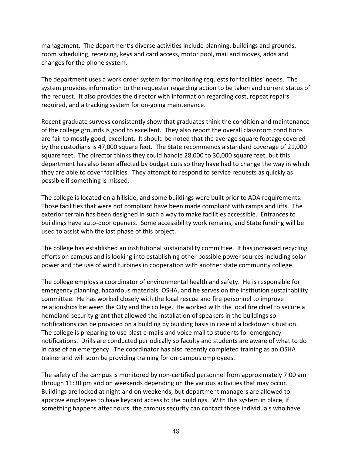management. The department's diverse activities include planning, buildings and grounds, room scheduling, receiving, keys and card access, motor pool, mail and moves, adds and changes for the phone system.

The department uses a work order system for monitoring requests for facilities' needs. The system provides information to the requester regarding action to be taken and current status of the request. It also provides the director with information regarding cost, repeat repairs required, and a tracking system for on-going maintenance.

Recent graduate surveys consistently show that graduates think the condition and maintenance of the college grounds is good to excellent. They also report the overall classroom conditions are fair to mostly good, excellent. It should be noted that the average square footage covered by the custodians is 47,000 square feet. The State recommends a standard coverage of 21,000 square feet. The director thinks they could handle 28,000 to 30,000 square feet, but this department has also been affected by budget cuts so they have had to change the way in which they are able to cover facilities. They attempt to respond to service requests as quickly as possible if something is missed.

The college is located on a hillside, and some buildings were built prior to ADA requirements. Those facilities that were not compliant have been made compliant with ramps and lifts. The exterior terrain has been designed in such a way to make facilities accessible. Entrances to buildings have auto-door openers. Some accessibility work remains, and State funding will be used to assist with the last phase of this project.

The college has established an institutional sustainability committee. It has increased recycling efforts on campus and is looking into establishing other possible power sources including solar power and the use of wind turbines in cooperation with another state community college.

The college employs a coordinator of environmental health and safety. He is responsible for emergency planning, hazardous materials, OSHA, and he serves on the institution sustainability committee. He has worked closely with the local rescue and fire personnel to improve relationships between the City and the college. He worked with the local fire chief to secure a homeland security grant that allowed the installation of speakers in the buildings so notifications can be provided on a building by building basis in case of a lockdown situation. The college is preparing to use blast e-mails and voice mail to students for emergency notifications. Drills are conducted periodically so faculty and students are aware of what to do in case of an emergency. The coordinator has also recently completed training as an OSHA trainer and will soon be providing training for on-campus employees.

The safety of the campus is monitored by non-certified personnel from approximately 7:00 am through 11:30 pm and on weekends depending on the various activities that may occur. Buildings are locked at night and on weekends, but department managers are allowed to approve employees to have keycard access to the buildings. With this system in place, if something happens after hours, the campus security can contact those individuals who have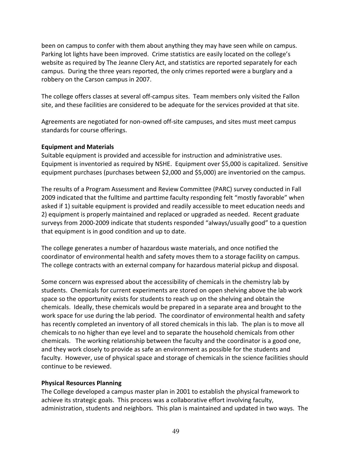been on campus to confer with them about anything they may have seen while on campus. Parking lot lights have been improved. Crime statistics are easily located on the college's website as required by The Jeanne Clery Act, and statistics are reported separately for each campus. During the three years reported, the only crimes reported were a burglary and a robbery on the Carson campus in 2007.

The college offers classes at several off-campus sites. Team members only visited the Fallon site, and these facilities are considered to be adequate for the services provided at that site.

Agreements are negotiated for non-owned off-site campuses, and sites must meet campus standards for course offerings.

#### Equipment and Materials

Suitable equipment is provided and accessible for instruction and administrative uses. Equipment is inventoried as required by NSHE. Equipment over \$5,000 is capitalized. Sensitive equipment purchases (purchases between \$2,000 and \$5,000) are inventoried on the campus.

The results of a Program Assessment and Review Committee (PARC) survey conducted in Fall 2009 indicated that the fulltime and parttime faculty responding felt "mostly favorable" when asked if 1) suitable equipment is provided and readily accessible to meet education needs and 2) equipment is properly maintained and replaced or upgraded as needed. Recent graduate surveys from 2000-2009 indicate that students responded "always/usually good" to a question that equipment is in good condition and up to date.

The college generates a number of hazardous waste materials, and once notified the coordinator of environmental health and safety moves them to a storage facility on campus. The college contracts with an external company for hazardous material pickup and disposal.

Some concern was expressed about the accessibility of chemicals in the chemistry lab by students. Chemicals for current experiments are stored on open shelving above the lab work space so the opportunity exists for students to reach up on the shelving and obtain the chemicals. Ideally, these chemicals would be prepared in a separate area and brought to the work space for use during the lab period. The coordinator of environmental health and safety has recently completed an inventory of all stored chemicals in this lab. The plan is to move all chemicals to no higher than eye level and to separate the household chemicals from other chemicals. The working relationship between the faculty and the coordinator is a good one, and they work closely to provide as safe an environment as possible for the students and faculty. However, use of physical space and storage of chemicals in the science facilities should continue to be reviewed.

### Physical Resources Planning

The College developed a campus master plan in 2001 to establish the physical framework to achieve its strategic goals. This process was a collaborative effort involving faculty, administration, students and neighbors. This plan is maintained and updated in two ways. The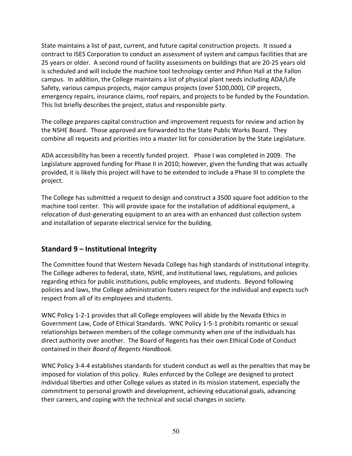State maintains a list of past, current, and future capital construction projects. It issued a contract to ISES Corporation to conduct an assessment of system and campus facilities that are 25 years or older. A second round of facility assessments on buildings that are 20-25 years old is scheduled and will include the machine tool technology center and Piñon Hall at the Fallon campus. In addition, the College maintains a list of physical plant needs including ADA/Life Safety, various campus projects, major campus projects (over \$100,000), CIP projects, emergency repairs, insurance claims, roof repairs, and projects to be funded by the Foundation. This list briefly describes the project, status and responsible party.

The college prepares capital construction and improvement requests for review and action by the NSHE Board. Those approved are forwarded to the State Public Works Board. They combine all requests and priorities into a master list for consideration by the State Legislature.

ADA accessibility has been a recently funded project. Phase I was completed in 2009. The Legislature approved funding for Phase II in 2010; however, given the funding that was actually provided, it is likely this project will have to be extended to include a Phase III to complete the project.

The College has submitted a request to design and construct a 3500 square foot addition to the machine tool center. This will provide space for the installation of additional equipment, a relocation of dust-generating equipment to an area with an enhanced dust collection system and installation of separate electrical service for the building.

# Standard 9 – Institutional Integrity

The Committee found that Western Nevada College has high standards of institutional integrity. The College adheres to federal, state, NSHE, and institutional laws, regulations, and policies regarding ethics for public institutions, public employees, and students. Beyond following policies and laws, the College administration fosters respect for the individual and expects such respect from all of its employees and students.

WNC Policy 1-2-1 provides that all College employees will abide by the Nevada Ethics in Government Law, Code of Ethical Standards. WNC Policy 1-5-1 prohibits romantic or sexual relationships between members of the college community when one of the individuals has direct authority over another. The Board of Regents has their own Ethical Code of Conduct contained in their Board of Regents Handbook.

WNC Policy 3-4-4 establishes standards for student conduct as well as the penalties that may be imposed for violation of this policy. Rules enforced by the College are designed to protect individual liberties and other College values as stated in its mission statement, especially the commitment to personal growth and development, achieving educational goals, advancing their careers, and coping with the technical and social changes in society.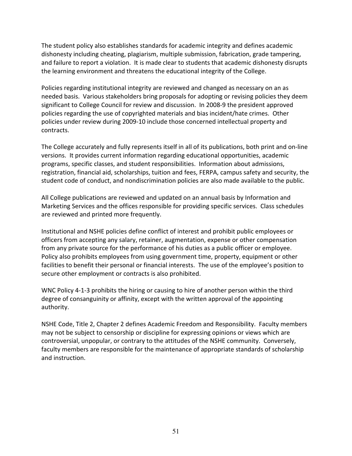The student policy also establishes standards for academic integrity and defines academic dishonesty including cheating, plagiarism, multiple submission, fabrication, grade tampering, and failure to report a violation. It is made clear to students that academic dishonesty disrupts the learning environment and threatens the educational integrity of the College.

Policies regarding institutional integrity are reviewed and changed as necessary on an as needed basis. Various stakeholders bring proposals for adopting or revising policies they deem significant to College Council for review and discussion. In 2008-9 the president approved policies regarding the use of copyrighted materials and bias incident/hate crimes. Other policies under review during 2009-10 include those concerned intellectual property and contracts.

The College accurately and fully represents itself in all of its publications, both print and on-line versions. It provides current information regarding educational opportunities, academic programs, specific classes, and student responsibilities. Information about admissions, registration, financial aid, scholarships, tuition and fees, FERPA, campus safety and security, the student code of conduct, and nondiscrimination policies are also made available to the public.

All College publications are reviewed and updated on an annual basis by Information and Marketing Services and the offices responsible for providing specific services. Class schedules are reviewed and printed more frequently.

Institutional and NSHE policies define conflict of interest and prohibit public employees or officers from accepting any salary, retainer, augmentation, expense or other compensation from any private source for the performance of his duties as a public officer or employee. Policy also prohibits employees from using government time, property, equipment or other facilities to benefit their personal or financial interests. The use of the employee's position to secure other employment or contracts is also prohibited.

WNC Policy 4-1-3 prohibits the hiring or causing to hire of another person within the third degree of consanguinity or affinity, except with the written approval of the appointing authority.

NSHE Code, Title 2, Chapter 2 defines Academic Freedom and Responsibility. Faculty members may not be subject to censorship or discipline for expressing opinions or views which are controversial, unpopular, or contrary to the attitudes of the NSHE community. Conversely, faculty members are responsible for the maintenance of appropriate standards of scholarship and instruction.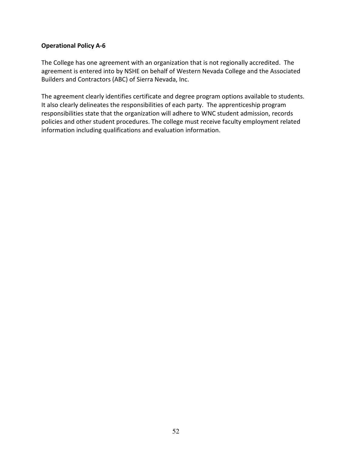#### Operational Policy A-6

The College has one agreement with an organization that is not regionally accredited. The agreement is entered into by NSHE on behalf of Western Nevada College and the Associated Builders and Contractors (ABC) of Sierra Nevada, Inc.

The agreement clearly identifies certificate and degree program options available to students. It also clearly delineates the responsibilities of each party. The apprenticeship program responsibilities state that the organization will adhere to WNC student admission, records policies and other student procedures. The college must receive faculty employment related information including qualifications and evaluation information.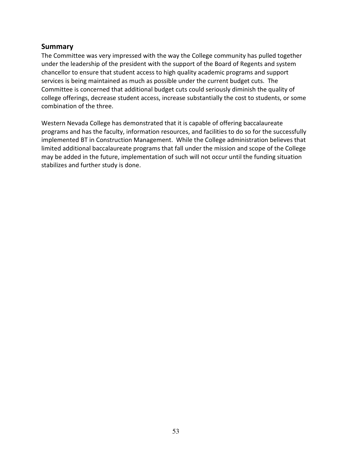### Summary

The Committee was very impressed with the way the College community has pulled together under the leadership of the president with the support of the Board of Regents and system chancellor to ensure that student access to high quality academic programs and support services is being maintained as much as possible under the current budget cuts. The Committee is concerned that additional budget cuts could seriously diminish the quality of college offerings, decrease student access, increase substantially the cost to students, or some combination of the three.

Western Nevada College has demonstrated that it is capable of offering baccalaureate programs and has the faculty, information resources, and facilities to do so for the successfully implemented BT in Construction Management. While the College administration believes that limited additional baccalaureate programs that fall under the mission and scope of the College may be added in the future, implementation of such will not occur until the funding situation stabilizes and further study is done.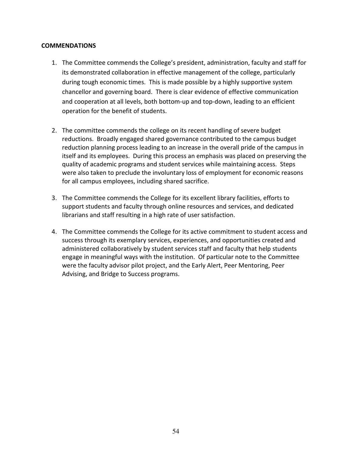#### COMMENDATIONS

- 1. The Committee commends the College's president, administration, faculty and staff for its demonstrated collaboration in effective management of the college, particularly during tough economic times. This is made possible by a highly supportive system chancellor and governing board. There is clear evidence of effective communication and cooperation at all levels, both bottom-up and top-down, leading to an efficient operation for the benefit of students.
- 2. The committee commends the college on its recent handling of severe budget reductions. Broadly engaged shared governance contributed to the campus budget reduction planning process leading to an increase in the overall pride of the campus in itself and its employees. During this process an emphasis was placed on preserving the quality of academic programs and student services while maintaining access. Steps were also taken to preclude the involuntary loss of employment for economic reasons for all campus employees, including shared sacrifice.
- 3. The Committee commends the College for its excellent library facilities, efforts to support students and faculty through online resources and services, and dedicated librarians and staff resulting in a high rate of user satisfaction.
- 4. The Committee commends the College for its active commitment to student access and success through its exemplary services, experiences, and opportunities created and administered collaboratively by student services staff and faculty that help students engage in meaningful ways with the institution. Of particular note to the Committee were the faculty advisor pilot project, and the Early Alert, Peer Mentoring, Peer Advising, and Bridge to Success programs.